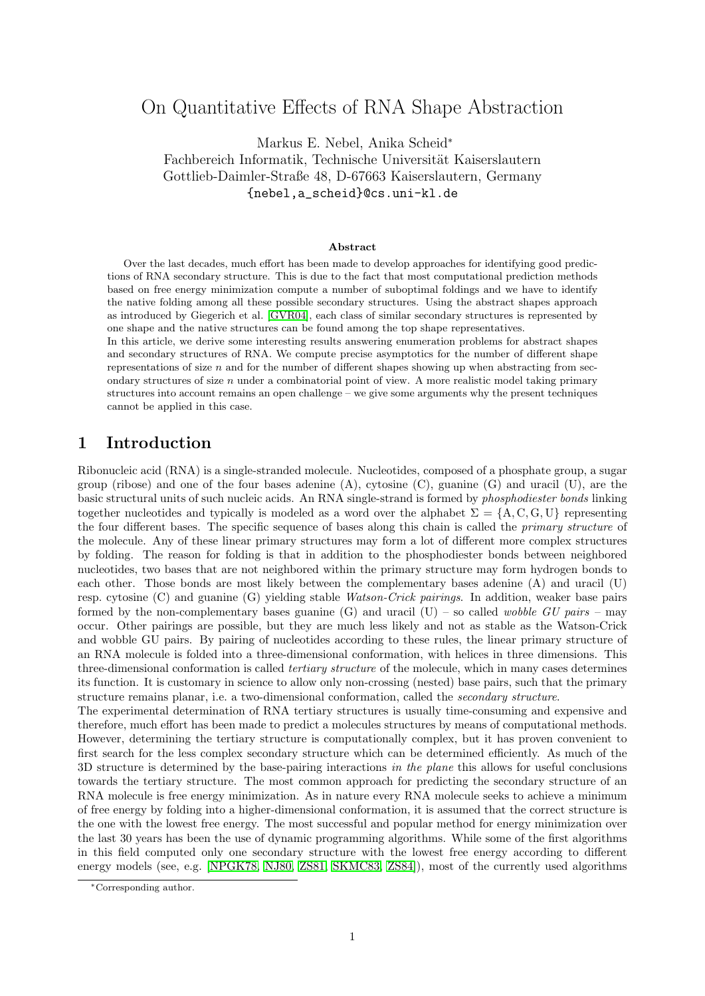# On Quantitative Effects of RNA Shape Abstraction

Markus E. Nebel, Anika Scheid<sup>∗</sup> Fachbereich Informatik, Technische Universität Kaiserslautern Gottlieb-Daimler-Straße 48, D-67663 Kaiserslautern, Germany {nebel,a\_scheid}@cs.uni-kl.de

#### **Abstract**

Over the last decades, much effort has been made to develop approaches for identifying good predictions of RNA secondary structure. This is due to the fact that most computational prediction methods based on free energy minimization compute a number of suboptimal foldings and we have to identify the native folding among all these possible secondary structures. Using the abstract shapes approach as introduced by Giegerich et al. [\[GVR04\]](#page-16-0), each class of similar secondary structures is represented by one shape and the native structures can be found among the top shape representatives.

In this article, we derive some interesting results answering enumeration problems for abstract shapes and secondary structures of RNA. We compute precise asymptotics for the number of different shape representations of size  $n$  and for the number of different shapes showing up when abstracting from secondary structures of size  $n$  under a combinatorial point of view. A more realistic model taking primary structures into account remains an open challenge – we give some arguments why the present techniques cannot be applied in this case.

## **1 Introduction**

Ribonucleic acid (RNA) is a single-stranded molecule. Nucleotides, composed of a phosphate group, a sugar group (ribose) and one of the four bases adenine (A), cytosine (C), guanine (G) and uracil (U), are the basic structural units of such nucleic acids. An RNA single-strand is formed by *phosphodiester bonds* linking together nucleotides and typically is modeled as a word over the alphabet  $\Sigma = \{A, C, G, U\}$  representing the four different bases. The specific sequence of bases along this chain is called the *primary structure* of the molecule. Any of these linear primary structures may form a lot of different more complex structures by folding. The reason for folding is that in addition to the phosphodiester bonds between neighbored nucleotides, two bases that are not neighbored within the primary structure may form hydrogen bonds to each other. Those bonds are most likely between the complementary bases adenine (A) and uracil (U) resp. cytosine (C) and guanine (G) yielding stable *Watson-Crick pairings*. In addition, weaker base pairs formed by the non-complementary bases guanine (G) and uracil (U) – so called *wobble GU pairs* – may occur. Other pairings are possible, but they are much less likely and not as stable as the Watson-Crick and wobble GU pairs. By pairing of nucleotides according to these rules, the linear primary structure of an RNA molecule is folded into a three-dimensional conformation, with helices in three dimensions. This three-dimensional conformation is called *tertiary structure* of the molecule, which in many cases determines its function. It is customary in science to allow only non-crossing (nested) base pairs, such that the primary structure remains planar, i.e. a two-dimensional conformation, called the *secondary structure*.

The experimental determination of RNA tertiary structures is usually time-consuming and expensive and therefore, much effort has been made to predict a molecules structures by means of computational methods. However, determining the tertiary structure is computationally complex, but it has proven convenient to first search for the less complex secondary structure which can be determined efficiently. As much of the 3D structure is determined by the base-pairing interactions *in the plane* this allows for useful conclusions towards the tertiary structure. The most common approach for predicting the secondary structure of an RNA molecule is free energy minimization. As in nature every RNA molecule seeks to achieve a minimum of free energy by folding into a higher-dimensional conformation, it is assumed that the correct structure is the one with the lowest free energy. The most successful and popular method for energy minimization over the last 30 years has been the use of dynamic programming algorithms. While some of the first algorithms in this field computed only one secondary structure with the lowest free energy according to different energy models (see, e.g. [\[NPGK78,](#page-17-0) [NJ80,](#page-17-1) [ZS81,](#page-17-2) [SKMC83,](#page-17-3) [ZS84\]](#page-17-4)), most of the currently used algorithms

<sup>∗</sup>Corresponding author.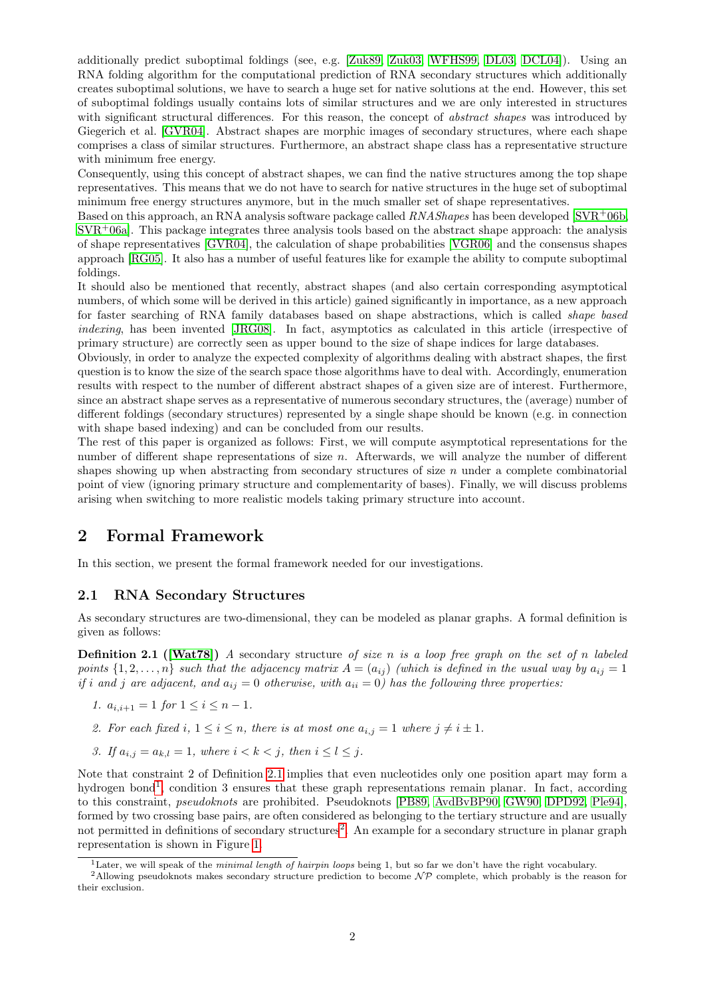additionally predict suboptimal foldings (see, e.g. [\[Zuk89,](#page-17-5) [Zuk03,](#page-17-6) [WFHS99,](#page-17-7) [DL03,](#page-16-1) [DCL04\]](#page-16-2)). Using an RNA folding algorithm for the computational prediction of RNA secondary structures which additionally creates suboptimal solutions, we have to search a huge set for native solutions at the end. However, this set of suboptimal foldings usually contains lots of similar structures and we are only interested in structures with significant structural differences. For this reason, the concept of *abstract shapes* was introduced by Giegerich et al. [\[GVR04\]](#page-16-0). Abstract shapes are morphic images of secondary structures, where each shape comprises a class of similar structures. Furthermore, an abstract shape class has a representative structure with minimum free energy.

Consequently, using this concept of abstract shapes, we can find the native structures among the top shape representatives. This means that we do not have to search for native structures in the huge set of suboptimal minimum free energy structures anymore, but in the much smaller set of shape representatives.

Based on this approach, an RNA analysis software package called *RNAShapes* has been developed [\[SVR](#page-17-8)+06b,  $SVR<sup>+</sup>06a$  $SVR<sup>+</sup>06a$ . This package integrates three analysis tools based on the abstract shape approach: the analysis of shape representatives [\[GVR04\]](#page-16-0), the calculation of shape probabilities [\[VGR06\]](#page-17-10) and the consensus shapes approach [\[RG05\]](#page-17-11). It also has a number of useful features like for example the ability to compute suboptimal foldings.

It should also be mentioned that recently, abstract shapes (and also certain corresponding asymptotical numbers, of which some will be derived in this article) gained significantly in importance, as a new approach for faster searching of RNA family databases based on shape abstractions, which is called *shape based indexing*, has been invented [\[JRG08\]](#page-17-12). In fact, asymptotics as calculated in this article (irrespective of primary structure) are correctly seen as upper bound to the size of shape indices for large databases.

Obviously, in order to analyze the expected complexity of algorithms dealing with abstract shapes, the first question is to know the size of the search space those algorithms have to deal with. Accordingly, enumeration results with respect to the number of different abstract shapes of a given size are of interest. Furthermore, since an abstract shape serves as a representative of numerous secondary structures, the (average) number of different foldings (secondary structures) represented by a single shape should be known (e.g. in connection with shape based indexing) and can be concluded from our results.

The rest of this paper is organized as follows: First, we will compute asymptotical representations for the number of different shape representations of size n. Afterwards, we will analyze the number of different shapes showing up when abstracting from secondary structures of size  $n$  under a complete combinatorial point of view (ignoring primary structure and complementarity of bases). Finally, we will discuss problems arising when switching to more realistic models taking primary structure into account.

## **2 Formal Framework**

In this section, we present the formal framework needed for our investigations.

### **2.1 RNA Secondary Structures**

<span id="page-1-0"></span>As secondary structures are two-dimensional, they can be modeled as planar graphs. A formal definition is given as follows:

**Definition 2.1 ([\[Wat78\]](#page-17-13))** *A* secondary structure *of size* n *is a loop free graph on the set of* n *labeled points*  $\{1, 2, \ldots, n\}$  *such that the adjacency matrix*  $A = (a_{ij})$  *(which is defined in the usual way by*  $a_{ij} = 1$ *if i* and *j* are adjacent, and  $a_{ij} = 0$  otherwise, with  $a_{ii} = 0$ ) has the following three properties:

*1.*  $a_{i,i+1} = 1$  *for*  $1 \leq i \leq n-1$ *.* 

- *2. For each fixed*  $i, 1 \leq i \leq n$ , there is at most one  $a_{i,j} = 1$  where  $j \neq i \pm 1$ .
- *3.* If  $a_{i,j} = a_{k,l} = 1$ , where  $i < k < j$ , then  $i \leq l \leq j$ .

Note that constraint 2 of Definition [2.1](#page-1-0) implies that even nucleotides only one position apart may form a hydrogen bond<sup>[1](#page-1-1)</sup>, condition 3 ensures that these graph representations remain planar. In fact, according to this constraint, *pseudoknots* are prohibited. Pseudoknots [\[PB89,](#page-17-14) [AvdBvBP90,](#page-16-3) [GW90,](#page-16-4) [DPD92,](#page-16-5) [Ple94\]](#page-17-15), formed by two crossing base pairs, are often considered as belonging to the tertiary structure and are usually not permitted in definitions of secondary structures<sup>[2](#page-1-2)</sup>. An example for a secondary structure in planar graph representation is shown in Figure [1.](#page-2-0)

<span id="page-1-2"></span><span id="page-1-1"></span><sup>1</sup>Later, we will speak of the *minimal length of hairpin loops* being 1, but so far we don't have the right vocabulary.

<sup>&</sup>lt;sup>2</sup>Allowing pseudoknots makes secondary structure prediction to become  $\mathcal{NP}$  complete, which probably is the reason for their exclusion.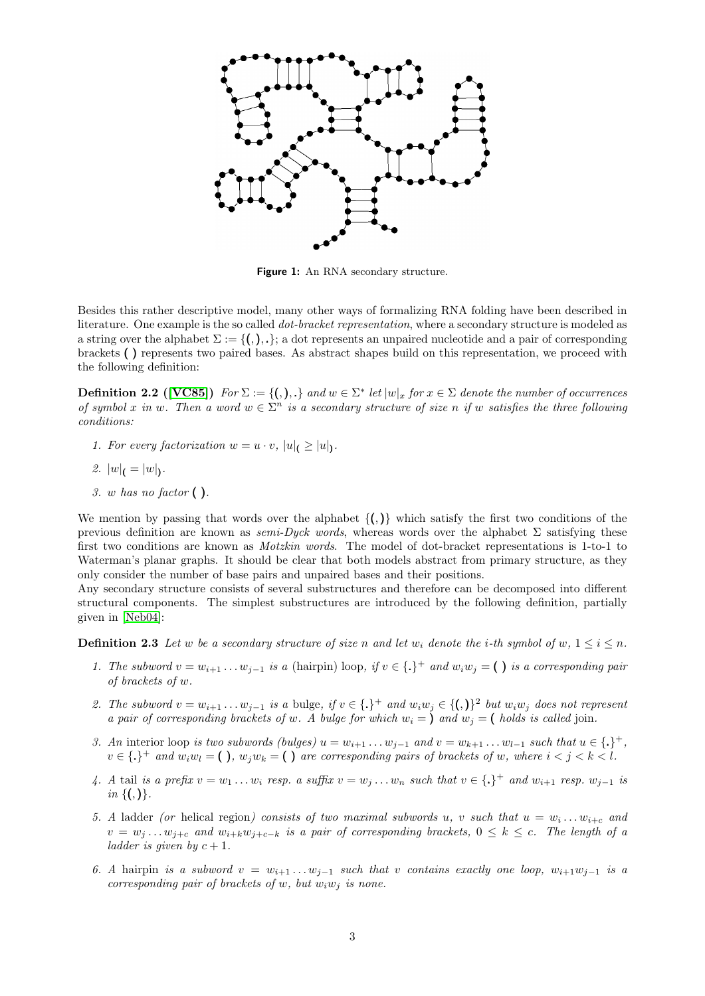

<span id="page-2-0"></span>Figure 1: An RNA secondary structure.

Besides this rather descriptive model, many other ways of formalizing RNA folding have been described in literature. One example is the so called *dot-bracket representation*, where a secondary structure is modeled as a string over the alphabet  $\Sigma := \{(),.\},\}$  a dot represents an unpaired nucleotide and a pair of corresponding brackets ( ) represents two paired bases. As abstract shapes build on this representation, we proceed with the following definition:

<span id="page-2-1"></span>**Definition 2.2** ([\[VC85\]](#page-17-16)) For  $\Sigma := \{(),\}$  and  $w \in \Sigma^*$  let  $|w|_x$  for  $x \in \Sigma$  denote the number of occurrences *of symbol* x in w. Then a word  $w \in \Sigma^n$  is a secondary structure of size n if w satisfies the three following *conditions:*

- *1. For every factorization*  $w = u \cdot v$ ,  $|u|_{\mathcal{C}} \geq |u|_{\mathcal{C}}$ .
- 2.  $|w|_{\mathfrak{l}} = |w|_{\mathfrak{l}}.$
- *3.* w *has no factor* ( )*.*

We mention by passing that words over the alphabet  $\{()\}$  which satisfy the first two conditions of the previous definition are known as *semi-Dyck words*, whereas words over the alphabet Σ satisfying these first two conditions are known as *Motzkin words*. The model of dot-bracket representations is 1-to-1 to Waterman's planar graphs. It should be clear that both models abstract from primary structure, as they only consider the number of base pairs and unpaired bases and their positions.

Any secondary structure consists of several substructures and therefore can be decomposed into different structural components. The simplest substructures are introduced by the following definition, partially given in [\[Neb04\]](#page-17-17):

**Definition 2.3** Let w be a secondary structure of size n and let w<sub>i</sub> denote the i-th symbol of w,  $1 \leq i \leq n$ .

- *1. The subword*  $v = w_{i+1} \ldots w_{j-1}$  *is a* (hairpin) loop, *if*  $v \in \{.\}^+$  *and*  $w_i w_j = ()$  *is a corresponding pair of brackets of* w*.*
- 2. The subword  $v = w_{i+1} \ldots w_{j-1}$  is a bulge, if  $v \in \{.\}^+$  and  $w_i w_j \in \{(),\}^2$  but  $w_i w_j$  does not represent *a pair of corresponding brackets of* w. A bulge for which  $w_i = \infty$  and  $w_j = \infty$  holds is called join.
- *3. An* interior loop *is two subwords (bulges)*  $u = w_{i+1} \ldots w_{j-1}$  *and*  $v = w_{k+1} \ldots w_{l-1}$  *such that*  $u \in \{.\}^+$ ,  $v \in \{.\}^+$  and  $w_i w_l = (\ )$ ,  $w_j w_k = (\ )$  are corresponding pairs of brackets of w, where  $i < j < k < l$ .
- *4. A* tail *is a prefix*  $v = w_1 \ldots w_i$  *resp. a suffix*  $v = w_j \ldots w_n$  *such that*  $v \in \{.\}^+$  *and*  $w_{i+1}$  *resp.*  $w_{j-1}$  *is in* {(,)}*.*
- 5. A ladder *(or* helical region*)* consists of two maximal subwords u, v such that  $u = w_i \dots w_{i+c}$  and  $v = w_j \dots w_{j+c}$  and  $w_{i+k}w_{j+c-k}$  *is a pair of corresponding brackets,*  $0 \leq k \leq c$ . The length of a *ladder is given by*  $c + 1$ *.*
- 6. A hairpin *is a subword*  $v = w_{i+1} \ldots w_{j-1}$  *such that* v *contains exactly one loop,*  $w_{i+1}w_{j-1}$  *is a corresponding pair of brackets of* w, but  $w_iw_j$  *is none.*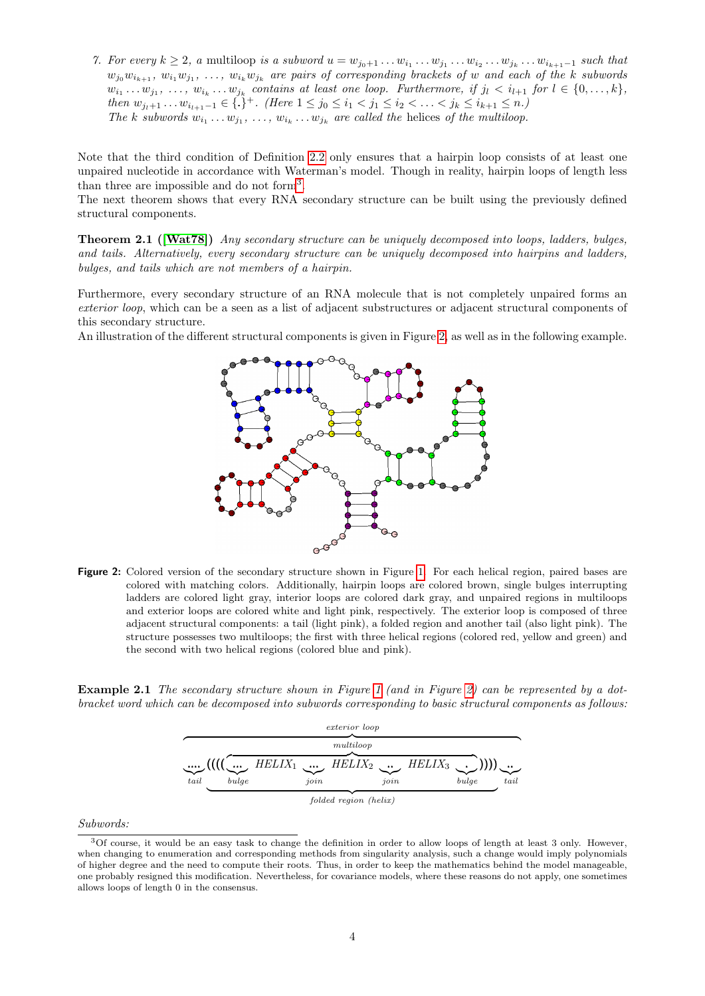7. For every  $k \geq 2$ , a multiloop *is a subword*  $u = w_{j_0+1} \ldots w_{i_1} \ldots w_{j_1} \ldots w_{i_k} \ldots w_{i_{k+1}-1}$  such that  $w_{j_0}w_{i_{k+1}}, w_{i_1}w_{j_1}, \ldots, w_{i_k}w_{j_k}$  are pairs of corresponding brackets of w and each of the k subwords  $w_{i_1} \ldots w_{j_1}, \ldots, w_{i_k} \ldots w_{j_k}$  contains at least one loop. Furthermore, if  $j_l \lt i_{l+1}$  for  $l \in \{0, \ldots, k\}$ , *then*  $w_{j_1+1} \ldots w_{i_{l+1}-1} \in \{.\}^+$ *. (Here*  $1 \leq j_0 \leq i_1 < j_1 \leq i_2 < \ldots < j_k \leq i_{k+1} \leq n$ .) The k subwords  $w_{i_1} \ldots w_{j_1}, \ldots, w_{i_k} \ldots w_{j_k}$  are called the helices of the multiloop.

Note that the third condition of Definition [2.2](#page-2-1) only ensures that a hairpin loop consists of at least one unpaired nucleotide in accordance with Waterman's model. Though in reality, hairpin loops of length less than three are impossible and do not form<sup>[3](#page-3-0)</sup>.

The next theorem shows that every RNA secondary structure can be built using the previously defined structural components.

**Theorem 2.1 ([\[Wat78\]](#page-17-13))** *Any secondary structure can be uniquely decomposed into loops, ladders, bulges, and tails. Alternatively, every secondary structure can be uniquely decomposed into hairpins and ladders, bulges, and tails which are not members of a hairpin.*

Furthermore, every secondary structure of an RNA molecule that is not completely unpaired forms an *exterior loop*, which can be a seen as a list of adjacent substructures or adjacent structural components of this secondary structure.

An illustration of the different structural components is given in Figure [2,](#page-3-1) as well as in the following example.



<span id="page-3-1"></span>**Figure 2:** Colored version of the secondary structure shown in Figure [1.](#page-2-0) For each helical region, paired bases are colored with matching colors. Additionally, hairpin loops are colored brown, single bulges interrupting ladders are colored light gray, interior loops are colored dark gray, and unpaired regions in multiloops and exterior loops are colored white and light pink, respectively. The exterior loop is composed of three adjacent structural components: a tail (light pink), a folded region and another tail (also light pink). The structure possesses two multiloops; the first with three helical regions (colored red, yellow and green) and the second with two helical regions (colored blue and pink).

<span id="page-3-2"></span>**Example 2.1** *The secondary structure shown in Figure [1](#page-2-0) (and in Figure [2\)](#page-3-1) can be represented by a dotbracket word which can be decomposed into subwords corresponding to basic structural components as follows:*



*Subwords:*

<span id="page-3-0"></span> $3$ Of course, it would be an easy task to change the definition in order to allow loops of length at least 3 only. However, when changing to enumeration and corresponding methods from singularity analysis, such a change would imply polynomials of higher degree and the need to compute their roots. Thus, in order to keep the mathematics behind the model manageable, one probably resigned this modification. Nevertheless, for covariance models, where these reasons do not apply, one sometimes allows loops of length 0 in the consensus.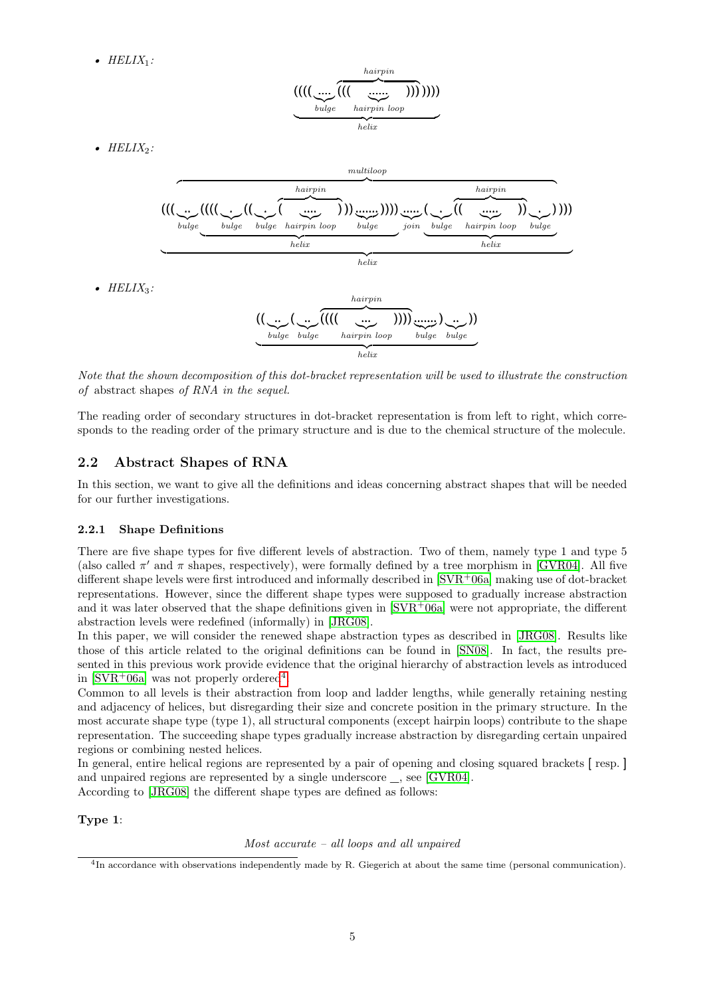*• HELIX*1*:*

$$
\underbrace{((((\underbrace{....}_{bulge}\overbrace{((\underbrace{....}_{hairpin\ loop}))}^{hairpin}))}))
$$

 $\bullet$   $HELIX_2$ :



*Note that the shown decomposition of this dot-bracket representation will be used to illustrate the construction of* abstract shapes *of RNA in the sequel.*

The reading order of secondary structures in dot-bracket representation is from left to right, which corresponds to the reading order of the primary structure and is due to the chemical structure of the molecule.

## **2.2 Abstract Shapes of RNA**

In this section, we want to give all the definitions and ideas concerning abstract shapes that will be needed for our further investigations.

#### **2.2.1 Shape Definitions**

There are five shape types for five different levels of abstraction. Two of them, namely type 1 and type 5 (also called  $\pi'$  and  $\pi$  shapes, respectively), were formally defined by a tree morphism in [\[GVR04\]](#page-16-0). All five different shape levels were first introduced and informally described in  $SVR^+06a$  making use of dot-bracket representations. However, since the different shape types were supposed to gradually increase abstraction and it was later observed that the shape definitions given in  $SVR<sup>+</sup>06a$  were not appropriate, the different abstraction levels were redefined (informally) in [\[JRG08\]](#page-17-12).

In this paper, we will consider the renewed shape abstraction types as described in [\[JRG08\]](#page-17-12). Results like those of this article related to the original definitions can be found in [\[SN08\]](#page-17-18). In fact, the results presented in this previous work provide evidence that the original hierarchy of abstraction levels as introduced in  $\text{SVR}^+06a$  was not properly ordered<sup>[4](#page-4-0)</sup>.

Common to all levels is their abstraction from loop and ladder lengths, while generally retaining nesting and adjacency of helices, but disregarding their size and concrete position in the primary structure. In the most accurate shape type (type 1), all structural components (except hairpin loops) contribute to the shape representation. The succeeding shape types gradually increase abstraction by disregarding certain unpaired regions or combining nested helices.

In general, entire helical regions are represented by a pair of opening and closing squared brackets [ resp. ] and unpaired regions are represented by a single underscore \_, see [\[GVR04\]](#page-16-0).

According to [\[JRG08\]](#page-17-12) the different shape types are defined as follows:

### **Type 1**:

#### *Most accurate – all loops and all unpaired*

<span id="page-4-0"></span><sup>4</sup> In accordance with observations independently made by R. Giegerich at about the same time (personal communication).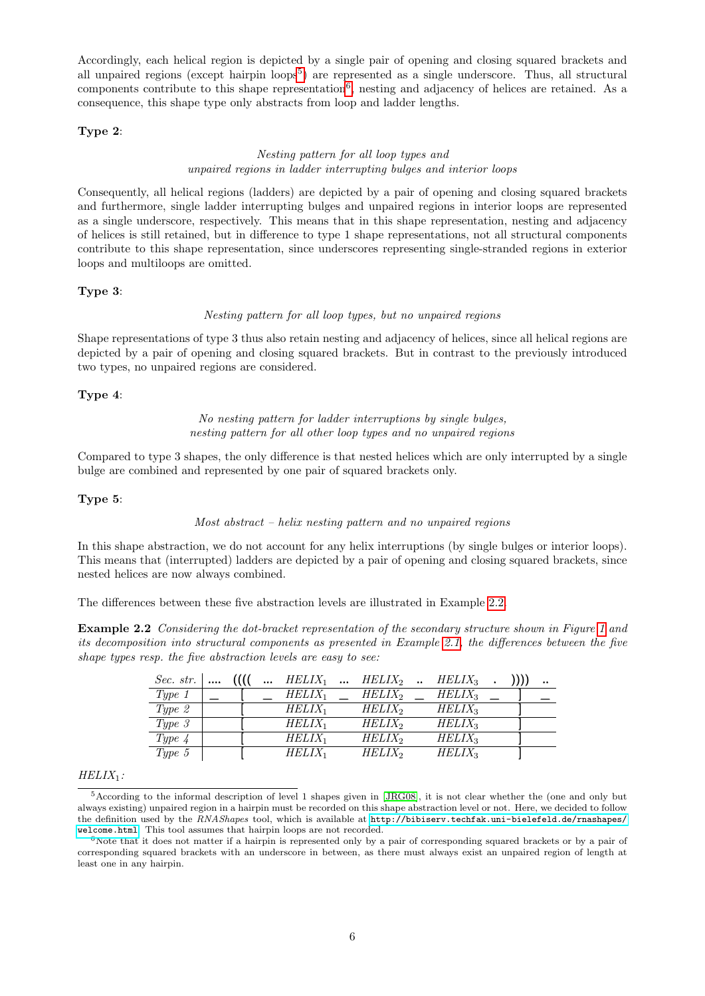Accordingly, each helical region is depicted by a single pair of opening and closing squared brackets and all unpaired regions (except hairpin loops<sup>[5](#page-5-0)</sup>) are represented as a single underscore. Thus, all structural components contribute to this shape representation<sup>[6](#page-5-1)</sup>, nesting and adjacency of helices are retained. As a consequence, this shape type only abstracts from loop and ladder lengths.

#### **Type 2**:

### *Nesting pattern for all loop types and unpaired regions in ladder interrupting bulges and interior loops*

Consequently, all helical regions (ladders) are depicted by a pair of opening and closing squared brackets and furthermore, single ladder interrupting bulges and unpaired regions in interior loops are represented as a single underscore, respectively. This means that in this shape representation, nesting and adjacency of helices is still retained, but in difference to type 1 shape representations, not all structural components contribute to this shape representation, since underscores representing single-stranded regions in exterior loops and multiloops are omitted.

#### **Type 3**:

#### *Nesting pattern for all loop types, but no unpaired regions*

Shape representations of type 3 thus also retain nesting and adjacency of helices, since all helical regions are depicted by a pair of opening and closing squared brackets. But in contrast to the previously introduced two types, no unpaired regions are considered.

### **Type 4**:

*No nesting pattern for ladder interruptions by single bulges, nesting pattern for all other loop types and no unpaired regions*

Compared to type 3 shapes, the only difference is that nested helices which are only interrupted by a single bulge are combined and represented by one pair of squared brackets only.

#### **Type 5**:

#### *Most abstract – helix nesting pattern and no unpaired regions*

In this shape abstraction, we do not account for any helix interruptions (by single bulges or interior loops). This means that (interrupted) ladders are depicted by a pair of opening and closing squared brackets, since nested helices are now always combined.

<span id="page-5-2"></span>The differences between these five abstraction levels are illustrated in Example [2.2.](#page-5-2)

**Example 2.2** *Considering the dot-bracket representation of the secondary structure shown in Figure [1](#page-2-0) and its decomposition into structural components as presented in Example [2.1,](#page-3-2) the differences between the five shape types resp. the five abstraction levels are easy to see:*

| Sec. str. | $\cdots$ | $\cdots$ | $HELIX_1$ | HELIX <sub>2</sub> | $HELIX_3$ |  | $\ddot{\phantom{a}}$ |
|-----------|----------|----------|-----------|--------------------|-----------|--|----------------------|
| $Type\ 1$ |          |          | $HELIX_1$ | $HELIX_2$          | $HELIX_3$ |  |                      |
| Type 2    |          |          | $HELIX_1$ | $HELIX_2$          | $HELIX_3$ |  |                      |
| $Type\ 3$ |          |          | $HELIX_1$ | $HELIX_2$          | $HELIX_3$ |  |                      |
| $Type\;4$ |          |          | $HELIX_1$ | $HELIX_2$          | $HELIX_3$ |  |                      |
| Type $5$  |          |          | $HELIX_1$ | $HELIX_2$          | $HELIX_3$ |  |                      |

#### *HELIX*1*:*

<span id="page-5-0"></span><sup>5</sup>According to the informal description of level 1 shapes given in [\[JRG08\]](#page-17-12), it is not clear whether the (one and only but always existing) unpaired region in a hairpin must be recorded on this shape abstraction level or not. Here, we decided to follow the definition used by the *RNAShapes* tool, which is available at [http://bibiserv.techfak.uni-bielefeld.de/rnashapes/](http://bibiserv.techfak.uni-bielefeld.de/rnashapes/welcome.html) [welcome.html](http://bibiserv.techfak.uni-bielefeld.de/rnashapes/welcome.html). This tool assumes that hairpin loops are not recorded.

<span id="page-5-1"></span> $6$ Note that it does not matter if a hairpin is represented only by a pair of corresponding squared brackets or by a pair of corresponding squared brackets with an underscore in between, as there must always exist an unpaired region of length at least one in any hairpin.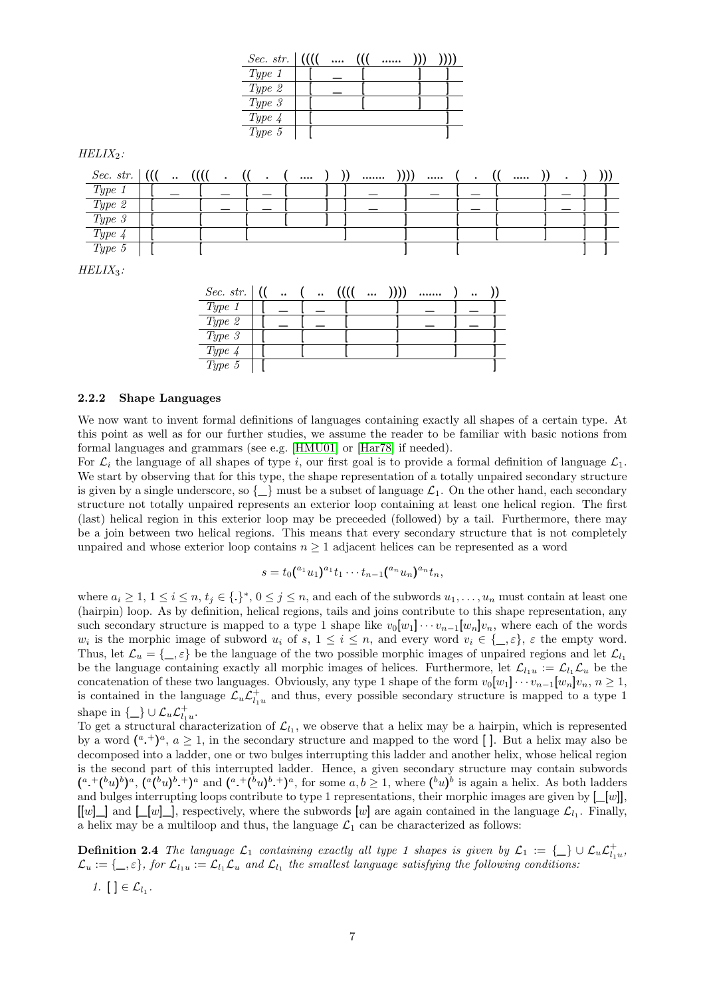|            |  |  |                | <i>Sec.</i> str. $ (($ | $\cdots$ |  |  |  |  |          |           |     |
|------------|--|--|----------------|------------------------|----------|--|--|--|--|----------|-----------|-----|
|            |  |  | Type 1         |                        |          |  |  |  |  |          |           |     |
|            |  |  | Type 2         |                        |          |  |  |  |  |          |           |     |
|            |  |  | $Type\ 3$      |                        |          |  |  |  |  |          |           |     |
|            |  |  | Type $\lambda$ |                        |          |  |  |  |  |          |           |     |
|            |  |  | $Type\ 5$      |                        |          |  |  |  |  |          |           |     |
| $ELIX_2$ : |  |  |                |                        |          |  |  |  |  |          |           |     |
|            |  |  |                |                        |          |  |  |  |  | $\cdots$ | $\bullet$ | ))) |
| Type 1     |  |  |                |                        |          |  |  |  |  |          |           |     |
| Type 2     |  |  |                |                        |          |  |  |  |  |          |           |     |

*HELIX*3*:*

 $HELIX<sub>2</sub>$ :

| $Sec. str.$ (1) | $\ddot{\phantom{a}}$ | $\ddot{\phantom{a}}$ | $\cdots$ |  | $\ddot{\phantom{a}}$ |  |
|-----------------|----------------------|----------------------|----------|--|----------------------|--|
| Type 1          |                      |                      |          |  |                      |  |
| Type 2          |                      |                      |          |  |                      |  |
| Type 3          |                      |                      |          |  |                      |  |
| Type $4$        |                      |                      |          |  |                      |  |
| Type 5          |                      |                      |          |  |                      |  |

*Type 3* | [ [ [ [ ] ] ] [ [ ] ] ] *Type 4* | [ [ [ ] ] [ [ ] ] ]  $Type 5$  | [ [ ] ] [ ] ]

#### **2.2.2 Shape Languages**

We now want to invent formal definitions of languages containing exactly all shapes of a certain type. At this point as well as for our further studies, we assume the reader to be familiar with basic notions from formal languages and grammars (see e.g. [\[HMU01\]](#page-17-19) or [\[Har78\]](#page-16-6) if needed).

For  $\mathcal{L}_i$  the language of all shapes of type i, our first goal is to provide a formal definition of language  $\mathcal{L}_1$ . We start by observing that for this type, the shape representation of a totally unpaired secondary structure is given by a single underscore, so  $\{\_\}$  must be a subset of language  $\mathcal{L}_1$ . On the other hand, each secondary structure not totally unpaired represents an exterior loop containing at least one helical region. The first (last) helical region in this exterior loop may be preceeded (followed) by a tail. Furthermore, there may be a join between two helical regions. This means that every secondary structure that is not completely unpaired and whose exterior loop contains  $n \geq 1$  adjacent helices can be represented as a word

$$
s = t_0({}^{a_1}u_1){}^{a_1}t_1 \cdots t_{n-1}({}^{a_n}u_n){}^{a_n}t_n,
$$

where  $a_i \geq 1, 1 \leq i \leq n$ ,  $t_j \in \{.\}^*, 0 \leq j \leq n$ , and each of the subwords  $u_1, \ldots, u_n$  must contain at least one (hairpin) loop. As by definition, helical regions, tails and joins contribute to this shape representation, any such secondary structure is mapped to a type 1 shape like  $v_0[w_1] \cdots v_{n-1}[w_n]v_n$ , where each of the words  $w_i$  is the morphic image of subword  $u_i$  of  $s, 1 \leq i \leq n$ , and every word  $v_i \in \{\_\}, \varepsilon$  the empty word. Thus, let  $\mathcal{L}_u = \{\_ \varepsilon\}$  be the language of the two possible morphic images of unpaired regions and let  $\mathcal{L}_l$ be the language containing exactly all morphic images of helices. Furthermore, let  $\mathcal{L}_{l_1u} := \mathcal{L}_{l_1}\mathcal{L}_u$  be the concatenation of these two languages. Obviously, any type 1 shape of the form  $v_0[w_1] \cdots v_{n-1}[w_n]v_n$ ,  $n \ge 1$ , is contained in the language  $\mathcal{L}_u \mathcal{L}_{l_1u}^+$  and thus, every possible secondary structure is mapped to a type 1 shape in  $\{\_\} \cup \mathcal{L}_u \mathcal{L}_{l_1 u}^+$ .

To get a structural characterization of  $\mathcal{L}_{l_1}$ , we observe that a helix may be a hairpin, which is represented by a word  $({}^{a} \cdot {}^{b})^{a}$ ,  $a \geq 1$ , in the secondary structure and mapped to the word []. But a helix may also be decomposed into a ladder, one or two bulges interrupting this ladder and another helix, whose helical region is the second part of this interrupted ladder. Hence, a given secondary structure may contain subwords  $(a+(b_u)^b)^a$ ,  $(a(b_u)^b)^a$  and  $(a+(b_u)^b)^a$ , for some  $a,b\geq 1$ , where  $(b_u)^b$  is again a helix. As both ladders and bulges interrupting loops contribute to type 1 representations, their morphic images are given by  $[\underline{\hspace{0.2cm}}[w]]$ ,  $[[w]]$  and  $[ [w]$ , respectively, where the subwords  $[w]$  are again contained in the language  $\mathcal{L}_{l_1}$ . Finally, a helix may be a multiloop and thus, the language  $\mathcal{L}_1$  can be characterized as follows:

**Definition 2.4** *The language*  $\mathcal{L}_1$  *containing exactly all type 1 shapes is given by*  $\mathcal{L}_1 := \{\_\} \cup \mathcal{L}_u \mathcal{L}_{l_1u}^+$ ,  $\mathcal{L}_u := \{\_\,,\varepsilon\}$ , for  $\mathcal{L}_{l_1}u := \mathcal{L}_{l_1}\mathcal{L}_u$  and  $\mathcal{L}_{l_1}$  the smallest language satisfying the following conditions:

$$
1. [ ] \in \mathcal{L}_{l_1}.
$$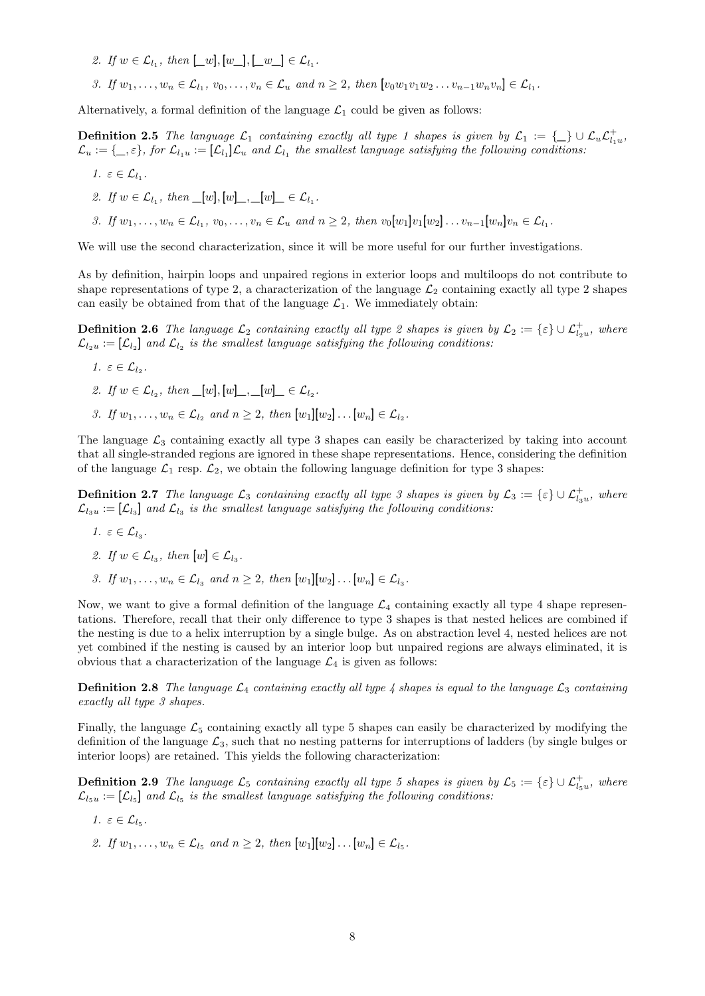- 2. If  $w \in \mathcal{L}_{l_1}$ , then  $[\underline{w}_l], [\underline{w}_l], [\underline{w}_l] \in \mathcal{L}_{l_1}$ .
- *3.* If  $w_1, \ldots, w_n \in \mathcal{L}_{l_1}, v_0, \ldots, v_n \in \mathcal{L}_u$  and  $n \geq 2$ , then  $[v_0w_1v_1w_2\ldots v_{n-1}w_nv_n] \in \mathcal{L}_{l_1}$ .

<span id="page-7-0"></span>Alternatively, a formal definition of the language  $\mathcal{L}_1$  could be given as follows:

**Definition 2.5** *The language*  $\mathcal{L}_1$  *containing exactly all type 1 shapes is given by*  $\mathcal{L}_1 := \{\_\} \cup \mathcal{L}_u \mathcal{L}_{l_1u}^+$ ,  $\mathcal{L}_u:=\{\_\,,\varepsilon\}$ , for  $\mathcal{L}_{l_1}u:= [\mathcal{L}_{l_1}]\mathcal{L}_u$  and  $\mathcal{L}_{l_1}$  the smallest language satisfying the following conditions:

$$
1. \varepsilon \in \mathcal{L}_{l_1}.
$$

- 2. If  $w \in \mathcal{L}_{l_1}$ , then  $\lfloor w \rfloor, [w] \rfloor, \lfloor w \rfloor \lfloor w \rfloor \in \mathcal{L}_{l_1}$ .
- *3.* If  $w_1, \ldots, w_n \in \mathcal{L}_{l_1}, v_0, \ldots, v_n \in \mathcal{L}_u$  and  $n \geq 2$ , then  $v_0[w_1]v_1[w_2] \ldots v_{n-1}[w_n]v_n \in \mathcal{L}_{l_1}$ .

We will use the second characterization, since it will be more useful for our further investigations.

As by definition, hairpin loops and unpaired regions in exterior loops and multiloops do not contribute to shape representations of type 2, a characterization of the language  $\mathcal{L}_2$  containing exactly all type 2 shapes can easily be obtained from that of the language  $\mathcal{L}_1$ . We immediately obtain:

**Definition 2.6** *The language*  $\mathcal{L}_2$  *containing exactly all type 2 shapes is given by*  $\mathcal{L}_2 := \{\varepsilon\} \cup \mathcal{L}_{l_2u}^+$ , where  $\mathcal{L}_{l_2u} := [\mathcal{L}_{l_2}]$  and  $\mathcal{L}_{l_2}$  is the smallest language satisfying the following conditions:

- 1.  $\varepsilon \in \mathcal{L}_{l_2}$ .
- 2. If  $w \in \mathcal{L}_{l_2}$ , then  $\lfloor w \rfloor, [w] \rfloor, \lfloor w \rfloor \lfloor w \rfloor \in \mathcal{L}_{l_2}$ .
- *3.* If  $w_1, ..., w_n \in \mathcal{L}_{l_2}$  and  $n \geq 2$ , then  $[w_1][w_2] \dots [w_n] \in \mathcal{L}_{l_2}$ .

The language  $\mathcal{L}_3$  containing exactly all type 3 shapes can easily be characterized by taking into account that all single-stranded regions are ignored in these shape representations. Hence, considering the definition of the language  $\mathcal{L}_1$  resp.  $\mathcal{L}_2$ , we obtain the following language definition for type 3 shapes:

**Definition 2.7** *The language*  $\mathcal{L}_3$  *containing exactly all type 3 shapes is given by*  $\mathcal{L}_3 := \{\varepsilon\} \cup \mathcal{L}_{l_3u}^+$ , where  $\mathcal{L}_{l_3u} := [\mathcal{L}_{l_3}]$  and  $\mathcal{L}_{l_3}$  is the smallest language satisfying the following conditions:

- 1.  $\varepsilon \in \mathcal{L}_{l_3}$ .
- 2. If  $w \in \mathcal{L}_{l_3}$ , then  $[w] \in \mathcal{L}_{l_3}$ .
- *3.* If  $w_1, ..., w_n \in \mathcal{L}_{l_3}$  and  $n \geq 2$ , then  $[w_1][w_2] \dots [w_n] \in \mathcal{L}_{l_3}$ .

Now, we want to give a formal definition of the language  $\mathcal{L}_4$  containing exactly all type 4 shape representations. Therefore, recall that their only difference to type 3 shapes is that nested helices are combined if the nesting is due to a helix interruption by a single bulge. As on abstraction level 4, nested helices are not yet combined if the nesting is caused by an interior loop but unpaired regions are always eliminated, it is obvious that a characterization of the language  $\mathcal{L}_4$  is given as follows:

**Definition 2.8** *The language*  $\mathcal{L}_4$  *containing* exactly all type 4 shapes is equal to the language  $\mathcal{L}_3$  *containing exactly all type 3 shapes.*

Finally, the language  $\mathcal{L}_5$  containing exactly all type 5 shapes can easily be characterized by modifying the definition of the language  $\mathcal{L}_3$ , such that no nesting patterns for interruptions of ladders (by single bulges or interior loops) are retained. This yields the following characterization:

**Definition 2.9** *The language*  $\mathcal{L}_5$  *containing exactly all type* 5 *shapes is given by*  $\mathcal{L}_5 := \{\varepsilon\} \cup \mathcal{L}_{l_5u}^+$ *, where*  $\mathcal{L}_{l_5u} := [\mathcal{L}_{l_5}]$  and  $\mathcal{L}_{l_5}$  is the smallest language satisfying the following conditions:

- 1.  $\varepsilon \in \mathcal{L}_{l_5}$ .
- 2. If  $w_1, \ldots, w_n \in \mathcal{L}_{l_5}$  and  $n \geq 2$ , then  $[w_1][w_2] \ldots [w_n] \in \mathcal{L}_{l_5}$ .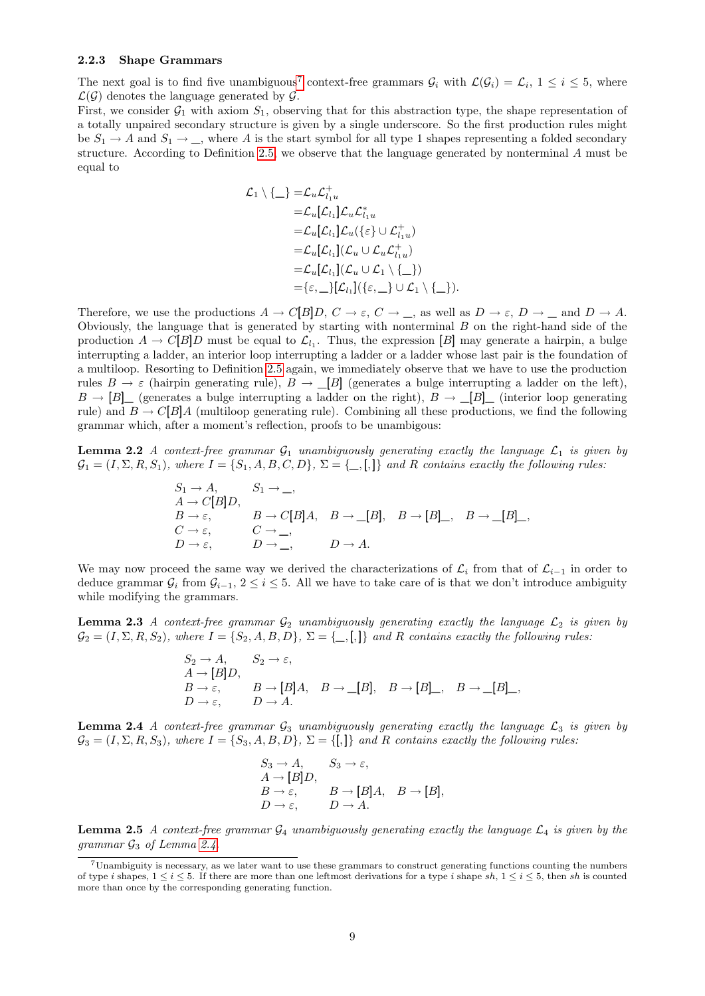#### **2.2.3 Shape Grammars**

The next goal is to find five unambiguous<sup>[7](#page-8-0)</sup> context-free grammars  $G_i$  with  $\mathcal{L}(\mathcal{G}_i) = \mathcal{L}_i$ ,  $1 \leq i \leq 5$ , where  $\mathcal{L}(\mathcal{G})$  denotes the language generated by  $\mathcal{G}$ .

First, we consider  $G_1$  with axiom  $S_1$ , observing that for this abstraction type, the shape representation of a totally unpaired secondary structure is given by a single underscore. So the first production rules might be  $S_1 \rightarrow A$  and  $S_1 \rightarrow \_$ , where A is the start symbol for all type 1 shapes representing a folded secondary structure. According to Definition [2.5,](#page-7-0) we observe that the language generated by nonterminal A must be equal to

$$
\mathcal{L}_1 \setminus \{\_\} = \mathcal{L}_u \mathcal{L}_{l_1 u}^+ \\
= \mathcal{L}_u[\mathcal{L}_{l_1}]\mathcal{L}_u \mathcal{L}_{l_1 u}^* \\
= \mathcal{L}_u[\mathcal{L}_{l_1}]\mathcal{L}_u(\{\varepsilon\} \cup \mathcal{L}_{l_1 u}^+) \\
= \mathcal{L}_u[\mathcal{L}_{l_1}](\mathcal{L}_u \cup \mathcal{L}_u \mathcal{L}_{l_1 u}^+) \\
= \mathcal{L}_u[\mathcal{L}_{l_1}](\mathcal{L}_u \cup \mathcal{L}_1 \setminus \{\_\}) \\
= \{\varepsilon, \_\}[\mathcal{L}_{l_1}](\{\varepsilon, \_\} \cup \mathcal{L}_1 \setminus \{\_\})
$$

Therefore, we use the productions  $A \to C[B]D$ ,  $C \to \varepsilon$ ,  $C \to \_$ , as well as  $D \to \varepsilon$ ,  $D \to \_$  and  $D \to A$ . Obviously, the language that is generated by starting with nonterminal  $B$  on the right-hand side of the production  $A \to C[B]D$  must be equal to  $\mathcal{L}_{l_1}$ . Thus, the expression [B] may generate a hairpin, a bulge interrupting a ladder, an interior loop interrupting a ladder or a ladder whose last pair is the foundation of a multiloop. Resorting to Definition [2.5](#page-7-0) again, we immediately observe that we have to use the production rules  $B \to \varepsilon$  (hairpin generating rule),  $B \to \Box$  [B] (generates a bulge interrupting a ladder on the left),  $B \to [B]$  (generates a bulge interrupting a ladder on the right),  $B \to [B]$  (interior loop generating rule) and  $B \to C[B]A$  (multiloop generating rule). Combining all these productions, we find the following grammar which, after a moment's reflection, proofs to be unambigous:

**Lemma 2.2** *A context-free grammar*  $G_1$  *unambiguously generating exactly the language*  $\mathcal{L}_1$  *is given by*  $\mathcal{G}_1 = (I, \Sigma, R, S_1)$ , where  $I = \{S_1, A, B, C, D\}$ ,  $\Sigma = \{\_,\_,\}\$  and R contains exactly the following rules:

$$
S_1 \to A, \qquad S_1 \to \_
$$
  
\n
$$
A \to C[B]D, \qquad B \to C[B]A, \quad B \to [B], \quad B \to [B] \_, \quad B \to [B] \_
$$
  
\n
$$
C \to \varepsilon, \qquad C \to \_
$$
  
\n
$$
D \to \varepsilon, \qquad D \to \_
$$

We may now proceed the same way we derived the characterizations of  $\mathcal{L}_i$  from that of  $\mathcal{L}_{i-1}$  in order to deduce grammar  $G_i$  from  $G_{i-1}$ ,  $2 \le i \le 5$ . All we have to take care of is that we don't introduce ambiguity while modifying the grammars.

**Lemma 2.3** *A context-free grammar*  $G_2$  *unambiguously generating exactly the language*  $\mathcal{L}_2$  *is given by*  $\mathcal{G}_2 = (I, \Sigma, R, S_2)$ *, where*  $I = \{S_2, A, B, D\}$ ,  $\Sigma = \{\_, [\,,] \}$  *and* R *contains exactly the following rules:* 

$$
S_2 \to A, \t S_2 \to \varepsilon,
$$
  
\n $A \to [B]D,$   
\n $B \to \varepsilon,$   $B \to [B]A, \t B \to [B], \t B \to [B]_-, \t B \to [B]_-,$   
\n $D \to \varepsilon,$   $D \to A.$ 

<span id="page-8-1"></span>**Lemma 2.4** *A context-free grammar*  $G_3$  *unambiguously generating exactly the language*  $\mathcal{L}_3$  *is given by*  $\mathcal{G}_3 = (I, \Sigma, R, S_3)$ , where  $I = \{S_3, A, B, D\}$ ,  $\Sigma = \{[,]\}$  and R contains exactly the following rules:

$$
S_3 \to A, \t S_3 \to \varepsilon,
$$
  
\n
$$
A \to [B]D, \t B \to \varepsilon, \t B \to [B]A, \t B \to [B],
$$
  
\n
$$
D \to \varepsilon, \t D \to A.
$$

**Lemma 2.5** *A context-free grammar*  $\mathcal{G}_4$  *unambiguously generating exactly the language*  $\mathcal{L}_4$  *is given by the grammar*  $\mathcal{G}_3$  *of Lemma [2.4.](#page-8-1)* 

<span id="page-8-0"></span><sup>7</sup>Unambiguity is necessary, as we later want to use these grammars to construct generating functions counting the numbers of type i shapes,  $1 \le i \le 5$ . If there are more than one leftmost derivations for a type i shape sh,  $1 \le i \le 5$ , then sh is counted more than once by the corresponding generating function.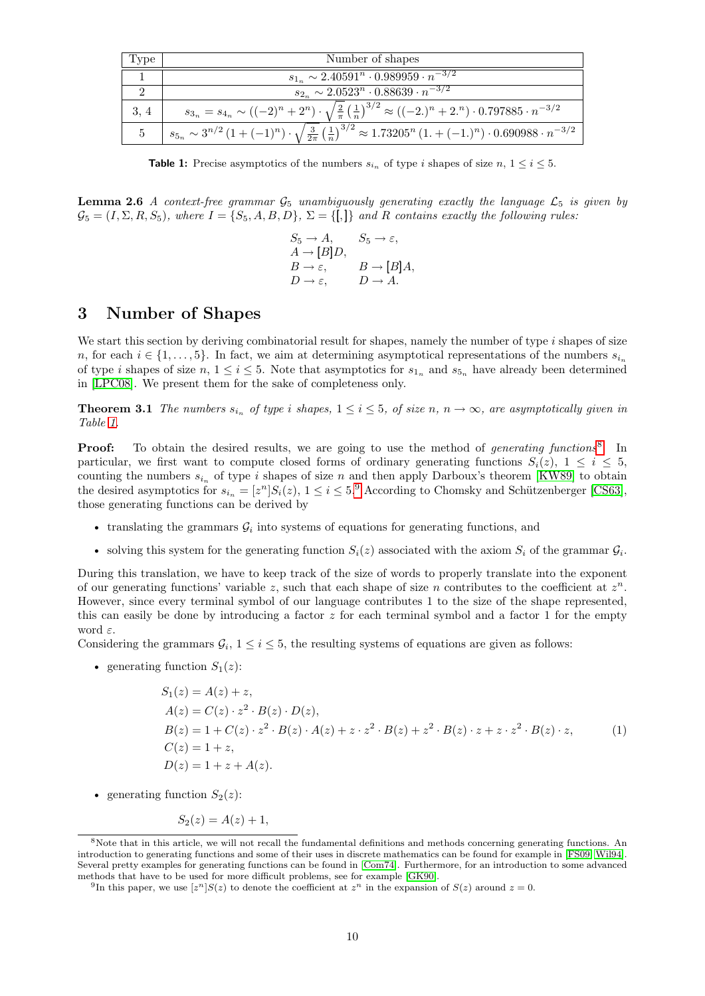| Type | Number of shapes                                                                                                                                                                |
|------|---------------------------------------------------------------------------------------------------------------------------------------------------------------------------------|
|      | $s_{1_n} \sim 2.40591^n \cdot 0.989959 \cdot n^{-3/2}$                                                                                                                          |
|      | $s_{2_n} \sim 2.0523^n \cdot 0.88639 \cdot n^{-3/2}$                                                                                                                            |
| 3, 4 | $s_{3_n} = s_{4_n} \sim ((-2)^n + 2^n) \cdot \sqrt{\frac{2}{\pi} (\frac{1}{n})^{3/2}} \approx ((-2.)^n + 2.^n) \cdot 0.797885 \cdot n^{-3/2}$                                   |
|      | $s_{5_n} \sim 3^{n/2} \left(1+(-1)^n\right) \cdot \sqrt{\tfrac{3}{2\pi}} \left(\tfrac{1}{n}\right)^{3/2} \approx 1.73205^n \left(1+(-1)^n\right) \cdot 0.690988 \cdot n^{-3/2}$ |

<span id="page-9-0"></span>**Table 1:** Precise asymptotics of the numbers  $s_{i_n}$  of type i shapes of size n,  $1 \leq i \leq 5$ .

**Lemma 2.6** *A context-free grammar*  $\mathcal{G}_5$  *unambiguously generating exactly the language*  $\mathcal{L}_5$  *is given by*  $\mathcal{G}_5 = (I, \Sigma, R, S_5)$ , where  $I = \{S_5, A, B, D\}$ ,  $\Sigma = \{[,]\}$  and R contains exactly the following rules:

> $S_5 \to A$ ,  $S_5 \to \varepsilon$ ,  $A \rightarrow [B]D,$  $B \to \varepsilon$ ,  $B \to [B]A$ ,  $D \to \varepsilon$ ,  $D \to A$ .

## **3 Number of Shapes**

We start this section by deriving combinatorial result for shapes, namely the number of type i shapes of size n, for each  $i \in \{1, \ldots, 5\}$ . In fact, we aim at determining asymptotical representations of the numbers  $s_{i_n}$ of type i shapes of size n,  $1 \le i \le 5$ . Note that asymptotics for  $s_{1n}$  and  $s_{5n}$  have already been determined in [\[LPC08\]](#page-17-20). We present them for the sake of completeness only.

**Theorem 3.1** *The numbers*  $s_{i_n}$  *of type i shapes*,  $1 \leq i \leq 5$ *, of size n,*  $n \to \infty$ *, are asymptotically given in Table [1.](#page-9-0)*

**Proof:** To obtain the desired results, we are going to use the method of *generating functions*<sup>[8](#page-9-1)</sup>. In particular, we first want to compute closed forms of ordinary generating functions  $S_i(z)$ ,  $1 \leq i \leq 5$ , counting the numbers  $s_{i_n}$  of type i shapes of size n and then apply Darboux's theorem [\[KW89\]](#page-17-21) to obtain the desired asymptotics for  $s_{i_n} = [z^n]S_i(z)$ ,  $1 \le i \le 5$ .<sup>[9](#page-9-2)</sup> According to Chomsky and Schützenberger [\[CS63\]](#page-16-7), those generating functions can be derived by

- translating the grammars  $\mathcal{G}_i$  into systems of equations for generating functions, and
- solving this system for the generating function  $S_i(z)$  associated with the axiom  $S_i$  of the grammar  $G_i$ .

During this translation, we have to keep track of the size of words to properly translate into the exponent of our generating functions' variable z, such that each shape of size n contributes to the coefficient at  $z<sup>n</sup>$ . However, since every terminal symbol of our language contributes 1 to the size of the shape represented, this can easily be done by introducing a factor  $z$  for each terminal symbol and a factor 1 for the empty word  $\varepsilon$ .

Considering the grammars  $\mathcal{G}_i$ ,  $1 \leq i \leq 5$ , the resulting systems of equations are given as follows:

• generating function  $S_1(z)$ :

$$
S_1(z) = A(z) + z,
$$
  
\n
$$
A(z) = C(z) \cdot z^2 \cdot B(z) \cdot D(z),
$$
  
\n
$$
B(z) = 1 + C(z) \cdot z^2 \cdot B(z) \cdot A(z) + z \cdot z^2 \cdot B(z) + z^2 \cdot B(z) \cdot z + z \cdot z^2 \cdot B(z) \cdot z,
$$
  
\n
$$
C(z) = 1 + z,
$$
  
\n
$$
D(z) = 1 + z + A(z).
$$
 (1)

• generating function  $S_2(z)$ :

<span id="page-9-3"></span>
$$
S_2(z) = A(z) + 1,
$$

<span id="page-9-1"></span><sup>&</sup>lt;sup>8</sup>Note that in this article, we will not recall the fundamental definitions and methods concerning generating functions. An introduction to generating functions and some of their uses in discrete mathematics can be found for example in [\[FS09,](#page-16-8) [Wil94\]](#page-17-22). Several pretty examples for generating functions can be found in [\[Com74\]](#page-16-9). Furthermore, for an introduction to some advanced methods that have to be used for more difficult problems, see for example [\[GK90\]](#page-16-10).

<span id="page-9-2"></span><sup>&</sup>lt;sup>9</sup>In this paper, we use  $[z^n]S(z)$  to denote the coefficient at  $z^n$  in the expansion of  $S(z)$  around  $z = 0$ .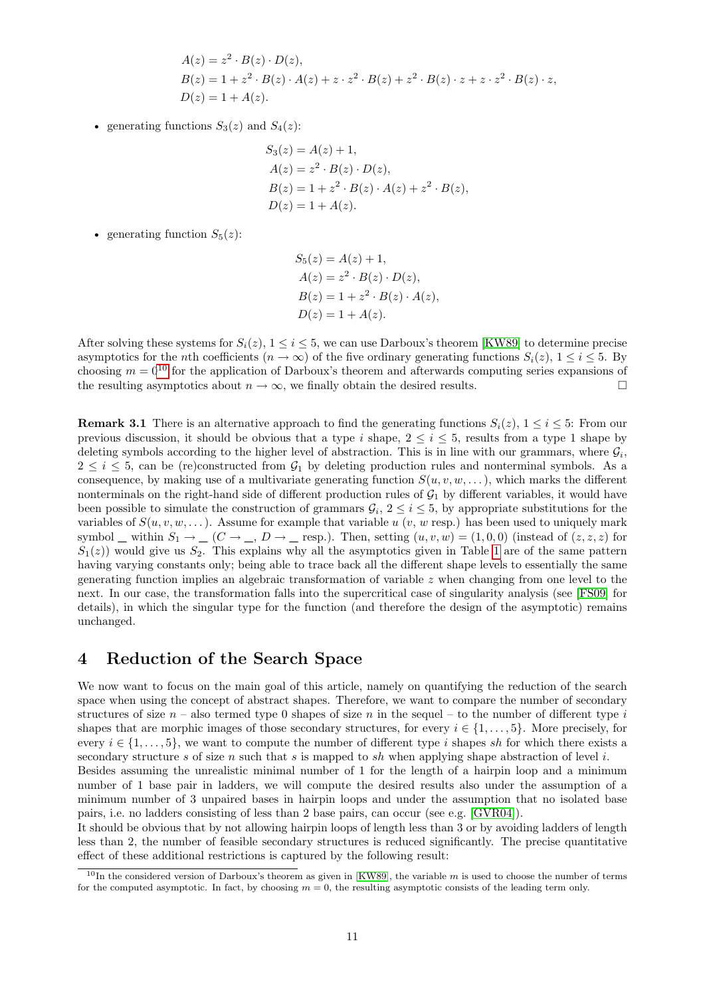$$
A(z) = z2 \cdot B(z) \cdot D(z),
$$
  
\n
$$
B(z) = 1 + z2 \cdot B(z) \cdot A(z) + z \cdot z2 \cdot B(z) + z2 \cdot B(z) \cdot z + z \cdot z2 \cdot B(z) \cdot z,
$$
  
\n
$$
D(z) = 1 + A(z).
$$

• generating functions  $S_3(z)$  and  $S_4(z)$ :

$$
S_3(z) = A(z) + 1,
$$
  
\n
$$
A(z) = z^2 \cdot B(z) \cdot D(z),
$$
  
\n
$$
B(z) = 1 + z^2 \cdot B(z) \cdot A(z) + z^2 \cdot B(z),
$$
  
\n
$$
D(z) = 1 + A(z).
$$

- generating function  $S_5(z)$ :
- $S_5(z) = A(z) + 1$ ,  $A(z) = z^2 \cdot B(z) \cdot D(z),$  $B(z) = 1 + z^2 \cdot B(z) \cdot A(z),$  $D(z) = 1 + A(z)$ .

After solving these systems for  $S_i(z)$ ,  $1 \le i \le 5$ , we can use Darboux's theorem [\[KW89\]](#page-17-21) to determine precise asymptotics for the *n*th coefficients  $(n \to \infty)$  of the five ordinary generating functions  $S_i(z)$ ,  $1 \le i \le 5$ . By choosing  $m = 0^{10}$  $m = 0^{10}$  $m = 0^{10}$  for the application of Darboux's theorem and afterwards computing series expansions of the resulting asymptotics about  $n \to \infty$ , we finally obtain the desired results.

<span id="page-10-1"></span>**Remark 3.1** There is an alternative approach to find the generating functions  $S_i(z)$ ,  $1 \le i \le 5$ : From our previous discussion, it should be obvious that a type i shape,  $2 \le i \le 5$ , results from a type 1 shape by deleting symbols according to the higher level of abstraction. This is in line with our grammars, where  $\mathcal{G}_i$ ,  $2 \leq i \leq 5$ , can be (re)constructed from  $\mathcal{G}_1$  by deleting production rules and nonterminal symbols. As a consequence, by making use of a multivariate generating function  $S(u, v, w, \dots)$ , which marks the different nonterminals on the right-hand side of different production rules of  $G_1$  by different variables, it would have been possible to simulate the construction of grammars  $\mathcal{G}_i$ ,  $2 \leq i \leq 5$ , by appropriate substitutions for the variables of  $S(u, v, w, \dots)$ . Assume for example that variable u  $(v, w \text{ resp.})$  has been used to uniquely mark symbol  $\Box$  within  $S_1 \rightarrow \Box$   $(C \rightarrow \Box, D \rightarrow \Box$  resp.). Then, setting  $(u, v, w) = (1, 0, 0)$  (instead of  $(z, z, z)$  for  $S_1(z)$ ) would give us  $S_2$ . This explains why all the asymptotics given in Table [1](#page-9-0) are of the same pattern having varying constants only; being able to trace back all the different shape levels to essentially the same generating function implies an algebraic transformation of variable  $z$  when changing from one level to the next. In our case, the transformation falls into the supercritical case of singularity analysis (see [\[FS09\]](#page-16-8) for details), in which the singular type for the function (and therefore the design of the asymptotic) remains unchanged.

## **4 Reduction of the Search Space**

We now want to focus on the main goal of this article, namely on quantifying the reduction of the search space when using the concept of abstract shapes. Therefore, we want to compare the number of secondary structures of size  $n -$  also termed type 0 shapes of size n in the sequel – to the number of different type i shapes that are morphic images of those secondary structures, for every  $i \in \{1, \ldots, 5\}$ . More precisely, for every  $i \in \{1, \ldots, 5\}$ , we want to compute the number of different type i shapes sh for which there exists a secondary structure s of size n such that s is mapped to sh when applying shape abstraction of level i.

Besides assuming the unrealistic minimal number of 1 for the length of a hairpin loop and a minimum number of 1 base pair in ladders, we will compute the desired results also under the assumption of a minimum number of 3 unpaired bases in hairpin loops and under the assumption that no isolated base pairs, i.e. no ladders consisting of less than 2 base pairs, can occur (see e.g. [\[GVR04\]](#page-16-0)).

It should be obvious that by not allowing hairpin loops of length less than 3 or by avoiding ladders of length less than 2, the number of feasible secondary structures is reduced significantly. The precise quantitative effect of these additional restrictions is captured by the following result:

<span id="page-10-0"></span> $10$ In the considered version of Darboux's theorem as given in [\[KW89\]](#page-17-21), the variable m is used to choose the number of terms for the computed asymptotic. In fact, by choosing  $m = 0$ , the resulting asymptotic consists of the leading term only.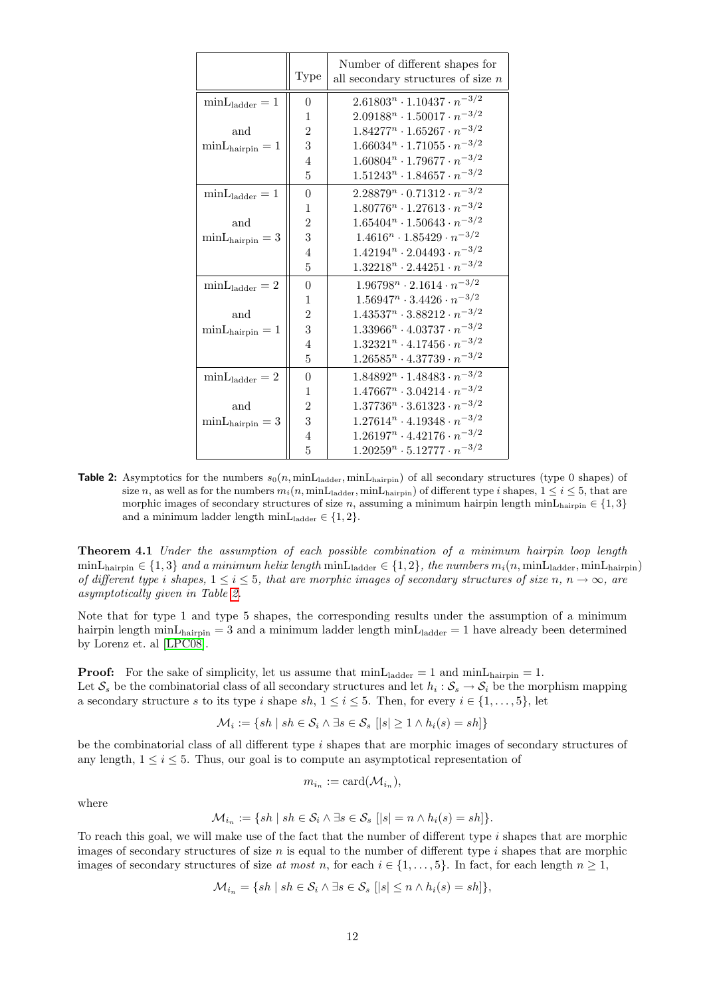|                            | Type           | Number of different shapes for<br>all secondary structures of size $n$ |
|----------------------------|----------------|------------------------------------------------------------------------|
| $min_{ladder} = 1$         | $\theta$       | $2.61803^n \cdot 1.10437 \cdot n^{-3/2}$                               |
|                            | 1              | $2.09188^n \cdot 1.50017 \cdot n^{-3/2}$                               |
| and                        | $\overline{2}$ | $1.84277n \cdot 1.65267 \cdot n^{-3/2}$                                |
| $minL_{hairpin} = 1$       | 3              | $1.66034n \cdot 1.71055 \cdot n^{-3/2}$                                |
|                            | $\overline{4}$ | $1.60804n \cdot 1.79677 \cdot n^{-3/2}$                                |
|                            | 5              | $1.51243^n \cdot 1.84657 \cdot n^{-3/2}$                               |
| $min_{\text{Lladder}} = 1$ | $\theta$       | $2.28879n \cdot 0.71312 \cdot n^{-3/2}$                                |
|                            | 1              | $1.80776^n \cdot 1.27613 \cdot n^{-3/2}$                               |
| and                        | $\overline{2}$ | $1.65404^n \cdot 1.50643 \cdot n^{-3/2}$                               |
| $minL_{hairpin} = 3$       | 3              | $1.4616^n \cdot 1.85429 \cdot n^{-3/2}$                                |
|                            | 4              | $1.42194n \cdot 2.04493 \cdot n^{-3/2}$                                |
|                            | 5              | $1.32218n \cdot 2.44251 \cdot n^{-3/2}$                                |
| $minL_{ladder} = 2$        | $\theta$       | $1.96798^n \cdot 2.1614 \cdot n^{-3/2}$                                |
|                            | 1              | $1.56947n \cdot 3.4426 \cdot n^{-3/2}$                                 |
| and                        | $\overline{2}$ | $1.43537n \cdot 3.88212 \cdot n^{-3/2}$                                |
| $minL_{hairpin} = 1$       | 3              | $1.33966^n \cdot 4.03737 \cdot n^{-3/2}$                               |
|                            | 4              | $1.32321^n \cdot 4.17456 \cdot n^{-3/2}$                               |
|                            | 5              | $1.26585n \cdot 4.37739 \cdot n^{-3/2}$                                |
| $minL_{ladder} = 2$        | $\theta$       | $1.84892^n \cdot 1.48483 \cdot n^{-3/2}$                               |
|                            | 1              | $1.47667n \cdot 3.04214 \cdot n^{-3/2}$                                |
| and                        | $\overline{2}$ | $1.37736^n \cdot 3.61323 \cdot n^{-3/2}$                               |
| $minL_{hairpin} = 3$       | 3              | $1.27614n \cdot 4.19348 \cdot n^{-3/2}$                                |
|                            | $\overline{4}$ | $1.26197n \cdot 4.42176 \cdot n^{-3/2}$                                |
|                            | 5              | $1.20259n \cdot 5.12777 \cdot n^{-3/2}$                                |

<span id="page-11-0"></span>**Table 2:** Asymptotics for the numbers  $s_0(n, \text{minL}_{\text{ladder}}, \text{minL}_{\text{hairpin}})$  of all secondary structures (type 0 shapes) of size n, as well as for the numbers  $m_i(n, \text{minL}_{\text{ladder}}, \text{minL}_{\text{hairpin}})$  of different type i shapes,  $1 \leq i \leq 5$ , that are morphic images of secondary structures of size n, assuming a minimum hairpin length minL<sub>hairpin</sub>  $\in \{1,3\}$ and a minimum ladder length minL<sub>ladder</sub>  $\in \{1,2\}$ .

**Theorem 4.1** *Under the assumption of each possible combination of a minimum hairpin loop length*  $\min\text{L}_{\text{hairpin}} \in \{1, 3\}$  and a minimum helix length  $\min\text{L}_{\text{ladder}} \in \{1, 2\}$ , the numbers  $m_i(n, \min\text{L}_{\text{ladder}}, \min\text{L}_{\text{hairpin}})$ *of different type i shapes,*  $1 \leq i \leq 5$ , that are morphic images of secondary structures of size n, n  $\rightarrow \infty$ , are *asymptotically given in Table [2.](#page-11-0)*

Note that for type 1 and type 5 shapes, the corresponding results under the assumption of a minimum hairpin length min $L_{\text{hairpin}} = 3$  and a minimum ladder length min $L_{\text{ladder}} = 1$  have already been determined by Lorenz et. al [\[LPC08\]](#page-17-20).

**Proof:** For the sake of simplicity, let us assume that  $\text{minL}_{\text{ladder}} = 1$  and  $\text{minL}_{\text{hairpin}} = 1$ . Let  $S_s$  be the combinatorial class of all secondary structures and let  $h_i: S_s \to S_i$  be the morphism mapping a secondary structure s to its type i shape sh,  $1 \le i \le 5$ . Then, for every  $i \in \{1, \ldots, 5\}$ , let

$$
\mathcal{M}_i := \{ sh \mid sh \in \mathcal{S}_i \land \exists s \in \mathcal{S}_s \ [|s| \ge 1 \land h_i(s) = sh] \}
$$

be the combinatorial class of all different type i shapes that are morphic images of secondary structures of any length,  $1 \leq i \leq 5$ . Thus, our goal is to compute an asymptotical representation of

$$
m_{i_n} := \text{card}(\mathcal{M}_{i_n}),
$$

where

$$
\mathcal{M}_{i_n} := \{ sh \mid sh \in \mathcal{S}_i \land \exists s \in \mathcal{S}_s \ [|s| = n \land h_i(s) = sh] \}.
$$

To reach this goal, we will make use of the fact that the number of different type  $i$  shapes that are morphic images of secondary structures of size  $n$  is equal to the number of different type  $i$  shapes that are morphic images of secondary structures of size *at most* n, for each  $i \in \{1, \ldots, 5\}$ . In fact, for each length  $n \ge 1$ ,

$$
\mathcal{M}_{i_n} = \{ sh \mid sh \in \mathcal{S}_i \land \exists s \in \mathcal{S}_s \ [ \vert s \vert \leq n \land h_i(s) = sh \} \},
$$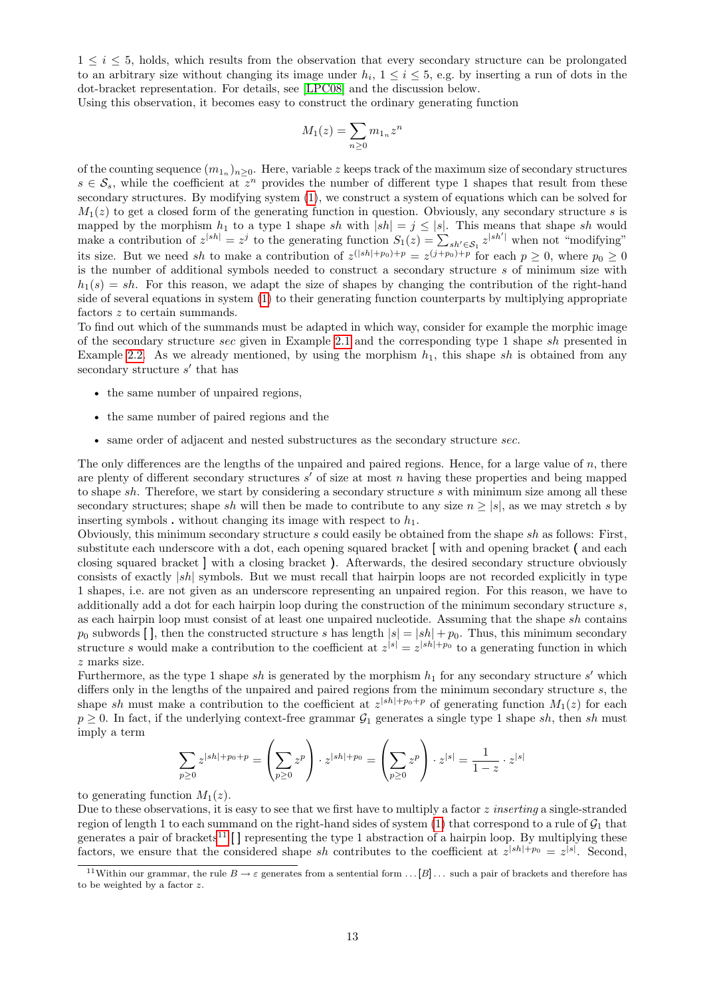$1 \leq i \leq 5$ , holds, which results from the observation that every secondary structure can be prolongated to an arbitrary size without changing its image under  $h_i$ ,  $1 \le i \le 5$ , e.g. by inserting a run of dots in the dot-bracket representation. For details, see [\[LPC08\]](#page-17-20) and the discussion below.

Using this observation, it becomes easy to construct the ordinary generating function

$$
M_1(z) = \sum_{n \ge 0} m_{1_n} z^n
$$

of the counting sequence  $(m_{1_n})_{n\geq 0}$ . Here, variable z keeps track of the maximum size of secondary structures  $s \in \mathcal{S}_s$ , while the coefficient at  $z^n$  provides the number of different type 1 shapes that result from these secondary structures. By modifying system [\(1\)](#page-9-3), we construct a system of equations which can be solved for  $M_1(z)$  to get a closed form of the generating function in question. Obviously, any secondary structure s is mapped by the morphism  $h_1$  to a type 1 shape sh with  $|sh| = j \leq |s|$ . This means that shape sh would make a contribution of  $z^{|sh|} = z^j$  to the generating function  $S_1(z) = \sum_{sh' \in S_1} z^{|sh'|}$  when not "modifying" its size. But we need sh to make a contribution of  $z^{(|sh|+p_0)+p} = z^{(j+p_0)+p}$  for each  $p \ge 0$ , where  $p_0 \ge 0$ is the number of additional symbols needed to construct a secondary structure s of minimum size with  $h_1(s) = sh$ . For this reason, we adapt the size of shapes by changing the contribution of the right-hand side of several equations in system [\(1\)](#page-9-3) to their generating function counterparts by multiplying appropriate factors  $z$  to certain summands.

To find out which of the summands must be adapted in which way, consider for example the morphic image of the secondary structure sec given in Example [2.1](#page-3-2) and the corresponding type 1 shape sh presented in Example [2.2.](#page-5-2) As we already mentioned, by using the morphism  $h_1$ , this shape sh is obtained from any secondary structure  $s'$  that has

- the same number of unpaired regions,
- the same number of paired regions and the
- same order of adjacent and nested substructures as the secondary structure sec.

The only differences are the lengths of the unpaired and paired regions. Hence, for a large value of n, there are plenty of different secondary structures  $s'$  of size at most n having these properties and being mapped to shape sh. Therefore, we start by considering a secondary structure s with minimum size among all these secondary structures; shape sh will then be made to contribute to any size  $n \geq |s|$ , as we may stretch s by inserting symbols  $\cdot$  without changing its image with respect to  $h_1$ .

Obviously, this minimum secondary structure  $s$  could easily be obtained from the shape  $sh$  as follows: First, substitute each underscore with a dot, each opening squared bracket [ with and opening bracket ( and each closing squared bracket ] with a closing bracket ). Afterwards, the desired secondary structure obviously consists of exactly |sh| symbols. But we must recall that hairpin loops are not recorded explicitly in type 1 shapes, i.e. are not given as an underscore representing an unpaired region. For this reason, we have to additionally add a dot for each hairpin loop during the construction of the minimum secondary structure s, as each hairpin loop must consist of at least one unpaired nucleotide. Assuming that the shape sh contains  $p_0$  subwords [], then the constructed structure s has length  $|s| = |sh| + p_0$ . Thus, this minimum secondary structure s would make a contribution to the coefficient at  $z^{|s|} = z^{|sh|+p_0}$  to a generating function in which z marks size.

Furthermore, as the type 1 shape sh is generated by the morphism  $h_1$  for any secondary structure s' which differs only in the lengths of the unpaired and paired regions from the minimum secondary structure s, the shape sh must make a contribution to the coefficient at  $z^{|sh|+p_0+p}$  of generating function  $M_1(z)$  for each  $p \ge 0$ . In fact, if the underlying context-free grammar  $\mathcal{G}_1$  generates a single type 1 shape sh, then sh must imply a term

$$
\sum_{p\geq 0} z^{|sh|+p_0+p} = \left(\sum_{p\geq 0} z^p\right) \cdot z^{|sh|+p_0} = \left(\sum_{p\geq 0} z^p\right) \cdot z^{|s|} = \frac{1}{1-z} \cdot z^{|s|}
$$

to generating function  $M_1(z)$ .

Due to these observations, it is easy to see that we first have to multiply a factor z *inserting* a single-stranded region of length 1 to each summand on the right-hand sides of system  $(1)$  that correspond to a rule of  $G_1$  that generates a pair of brackets<sup>[11](#page-12-0)</sup> [] representing the type 1 abstraction of a hairpin loop. By multiplying these factors, we ensure that the considered shape sh contributes to the coefficient at  $z^{|sh|+p_0} = z^{|s|}$ . Second,

<span id="page-12-0"></span><sup>&</sup>lt;sup>11</sup>Within our grammar, the rule  $B \to \varepsilon$  generates from a sentential form ... [B] ... such a pair of brackets and therefore has to be weighted by a factor z.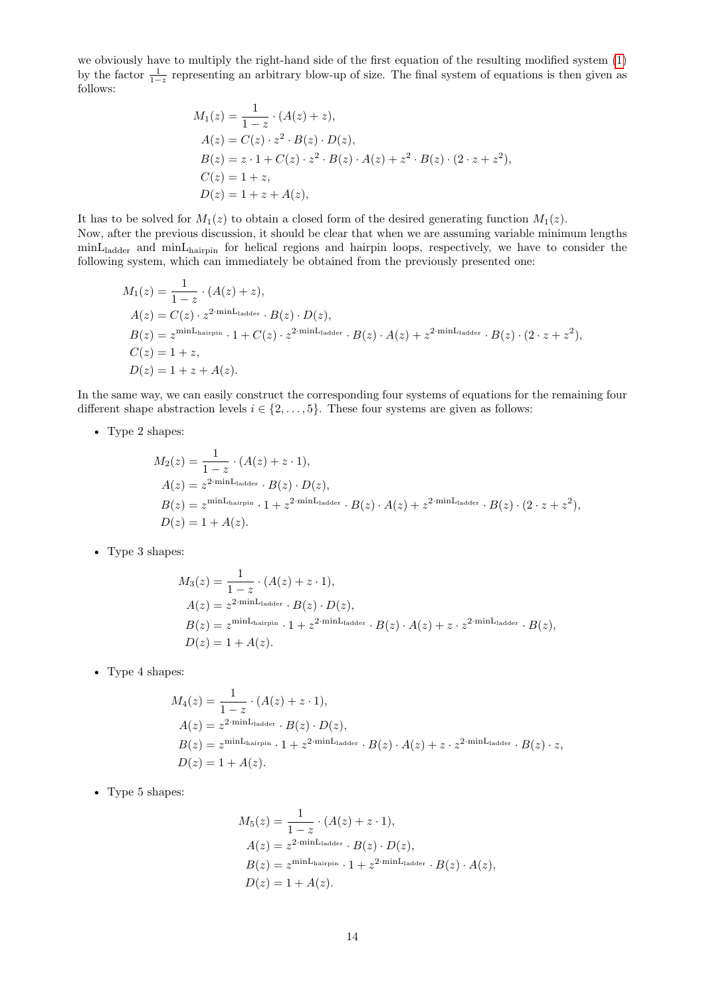we obviously have to multiply the right-hand side of the first equation of the resulting modified system [\(1\)](#page-9-3) by the factor  $\frac{1}{1-z}$  representing an arbitrary blow-up of size. The final system of equations is then given as follows:

$$
M_1(z) = \frac{1}{1-z} \cdot (A(z) + z),
$$
  
\n
$$
A(z) = C(z) \cdot z^2 \cdot B(z) \cdot D(z),
$$
  
\n
$$
B(z) = z \cdot 1 + C(z) \cdot z^2 \cdot B(z) \cdot A(z) + z^2 \cdot B(z) \cdot (2 \cdot z + z^2),
$$
  
\n
$$
C(z) = 1 + z,
$$
  
\n
$$
D(z) = 1 + z + A(z),
$$

It has to be solved for  $M_1(z)$  to obtain a closed form of the desired generating function  $M_1(z)$ . Now, after the previous discussion, it should be clear that when we are assuming variable minimum lengths minLladder and minLhairpin for helical regions and hairpin loops, respectively, we have to consider the following system, which can immediately be obtained from the previously presented one:

$$
M_1(z) = \frac{1}{1-z} \cdot (A(z) + z),
$$
  
\n
$$
A(z) = C(z) \cdot z^{2 \cdot \min_{\text{Ladder}}} \cdot B(z) \cdot D(z),
$$
  
\n
$$
B(z) = z^{\min_{\text{Lhairpin}}} \cdot 1 + C(z) \cdot z^{2 \cdot \min_{\text{Ladder}}} \cdot B(z) \cdot A(z) + z^{2 \cdot \min_{\text{Ladder}}} \cdot B(z) \cdot (2 \cdot z + z^2),
$$
  
\n
$$
C(z) = 1 + z,
$$
  
\n
$$
D(z) = 1 + z + A(z).
$$

In the same way, we can easily construct the corresponding four systems of equations for the remaining four different shape abstraction levels  $i \in \{2, \ldots, 5\}$ . These four systems are given as follows:

• Type 2 shapes:

$$
M_2(z) = \frac{1}{1-z} \cdot (A(z) + z \cdot 1),
$$
  
\n
$$
A(z) = z^{2 \cdot \min_{\text{Ladder}}} \cdot B(z) \cdot D(z),
$$
  
\n
$$
B(z) = z^{\min_{\text{Lairpin}}} \cdot 1 + z^{2 \cdot \min_{\text{Ladder}}} \cdot B(z) \cdot A(z) + z^{2 \cdot \min_{\text{Ladder}}} \cdot B(z) \cdot (2 \cdot z + z^2),
$$
  
\n
$$
D(z) = 1 + A(z).
$$

• Type 3 shapes:

$$
M_3(z) = \frac{1}{1-z} \cdot (A(z) + z \cdot 1),
$$
  
\n
$$
A(z) = z^{2 \cdot \min_{\text{Ladder}}} \cdot B(z) \cdot D(z),
$$
  
\n
$$
B(z) = z^{\min_{\text{Lairpin}}} \cdot 1 + z^{2 \cdot \min_{\text{Ladder}}} \cdot B(z) \cdot A(z) + z \cdot z^{2 \cdot \min_{\text{Ladder}}} \cdot B(z),
$$
  
\n
$$
D(z) = 1 + A(z).
$$

• Type 4 shapes:

$$
M_4(z) = \frac{1}{1-z} \cdot (A(z) + z \cdot 1),
$$
  
\n
$$
A(z) = z^{2 \cdot \min_{\text{Ladder}}} \cdot B(z) \cdot D(z),
$$
  
\n
$$
B(z) = z^{\min_{\text{Lairpin}}} \cdot 1 + z^{2 \cdot \min_{\text{Ladder}}} \cdot B(z) \cdot A(z) + z \cdot z^{2 \cdot \min_{\text{Ladder}}} \cdot B(z) \cdot z,
$$
  
\n
$$
D(z) = 1 + A(z).
$$

• Type 5 shapes:

$$
M_5(z) = \frac{1}{1-z} \cdot (A(z) + z \cdot 1),
$$
  
\n
$$
A(z) = z^{2 \cdot \min_{\text{Ladder}}} \cdot B(z) \cdot D(z),
$$
  
\n
$$
B(z) = z^{\min_{\text{Lhairpin}}} \cdot 1 + z^{2 \cdot \min_{\text{Ladder}}} \cdot B(z) \cdot A(z),
$$
  
\n
$$
D(z) = 1 + A(z).
$$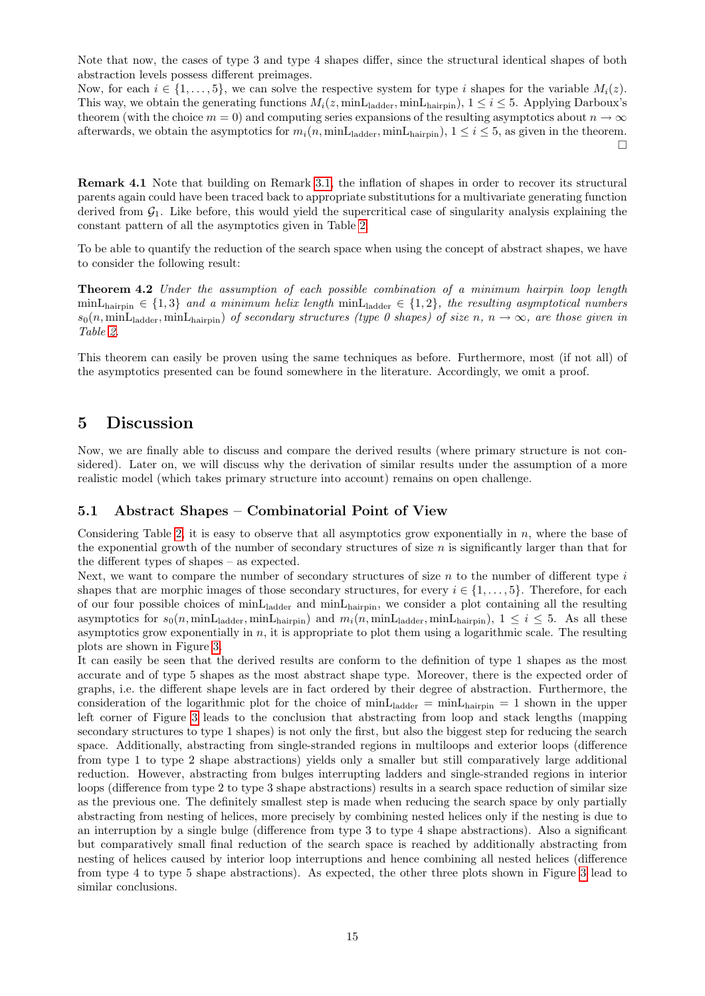Note that now, the cases of type 3 and type 4 shapes differ, since the structural identical shapes of both abstraction levels possess different preimages.

Now, for each  $i \in \{1, \ldots, 5\}$ , we can solve the respective system for type i shapes for the variable  $M_i(z)$ . This way, we obtain the generating functions  $M_i(z, \text{minL}_{\text{ladder}}, \text{minL}_{\text{hairpin}}), 1 \leq i \leq 5$ . Applying Darboux's theorem (with the choice  $m = 0$ ) and computing series expansions of the resulting asymptotics about  $n \to \infty$ afterwards, we obtain the asymptotics for  $m_i(n, \text{minL}_{\text{ladder}}, \text{minL}_{\text{hairpin}}), 1 \le i \le 5$ , as given in the theorem.  $\Box$ 

**Remark 4.1** Note that building on Remark [3.1,](#page-10-1) the inflation of shapes in order to recover its structural parents again could have been traced back to appropriate substitutions for a multivariate generating function derived from  $\mathcal{G}_1$ . Like before, this would yield the supercritical case of singularity analysis explaining the constant pattern of all the asymptotics given in Table [2.](#page-11-0)

To be able to quantify the reduction of the search space when using the concept of abstract shapes, we have to consider the following result:

**Theorem 4.2** *Under the assumption of each possible combination of a minimum hairpin loop length*  $min\text{L}_{\text{hairpin}} \in \{1,3\}$  *and a minimum helix length*  $min\text{L}_{\text{ladder}} \in \{1,2\}$ *, the resulting asymptotical numbers*  $s_0(n, \text{minL}_{\text{hader}}, \text{minL}_{\text{hairpin}})$  *of secondary structures (type 0 shapes) of size* n,  $n \to \infty$ *, are those given in Table [2.](#page-11-0)*

This theorem can easily be proven using the same techniques as before. Furthermore, most (if not all) of the asymptotics presented can be found somewhere in the literature. Accordingly, we omit a proof.

## **5 Discussion**

Now, we are finally able to discuss and compare the derived results (where primary structure is not considered). Later on, we will discuss why the derivation of similar results under the assumption of a more realistic model (which takes primary structure into account) remains on open challenge.

### **5.1 Abstract Shapes – Combinatorial Point of View**

Considering Table [2,](#page-11-0) it is easy to observe that all asymptotics grow exponentially in  $n$ , where the base of the exponential growth of the number of secondary structures of size  $n$  is significantly larger than that for the different types of shapes – as expected.

Next, we want to compare the number of secondary structures of size  $n$  to the number of different type  $i$ shapes that are morphic images of those secondary structures, for every  $i \in \{1, \ldots, 5\}$ . Therefore, for each of our four possible choices of minLladder and minLhairpin, we consider a plot containing all the resulting asymptotics for  $s_0(n, \text{minL}_{\text{ladder}}, \text{minL}_{\text{hairpin}})$  and  $m_i(n, \text{minL}_{\text{ladder}}, \text{minL}_{\text{hairpin}})$ ,  $1 \le i \le 5$ . As all these asymptotics grow exponentially in  $n$ , it is appropriate to plot them using a logarithmic scale. The resulting plots are shown in Figure [3.](#page-15-0)

It can easily be seen that the derived results are conform to the definition of type 1 shapes as the most accurate and of type 5 shapes as the most abstract shape type. Moreover, there is the expected order of graphs, i.e. the different shape levels are in fact ordered by their degree of abstraction. Furthermore, the consideration of the logarithmic plot for the choice of  $min_{\text{Ladder}} = min_{\text{hairpin}} = 1$  shown in the upper left corner of Figure [3](#page-15-0) leads to the conclusion that abstracting from loop and stack lengths (mapping secondary structures to type 1 shapes) is not only the first, but also the biggest step for reducing the search space. Additionally, abstracting from single-stranded regions in multiloops and exterior loops (difference from type 1 to type 2 shape abstractions) yields only a smaller but still comparatively large additional reduction. However, abstracting from bulges interrupting ladders and single-stranded regions in interior loops (difference from type 2 to type 3 shape abstractions) results in a search space reduction of similar size as the previous one. The definitely smallest step is made when reducing the search space by only partially abstracting from nesting of helices, more precisely by combining nested helices only if the nesting is due to an interruption by a single bulge (difference from type 3 to type 4 shape abstractions). Also a significant but comparatively small final reduction of the search space is reached by additionally abstracting from nesting of helices caused by interior loop interruptions and hence combining all nested helices (difference from type 4 to type 5 shape abstractions). As expected, the other three plots shown in Figure [3](#page-15-0) lead to similar conclusions.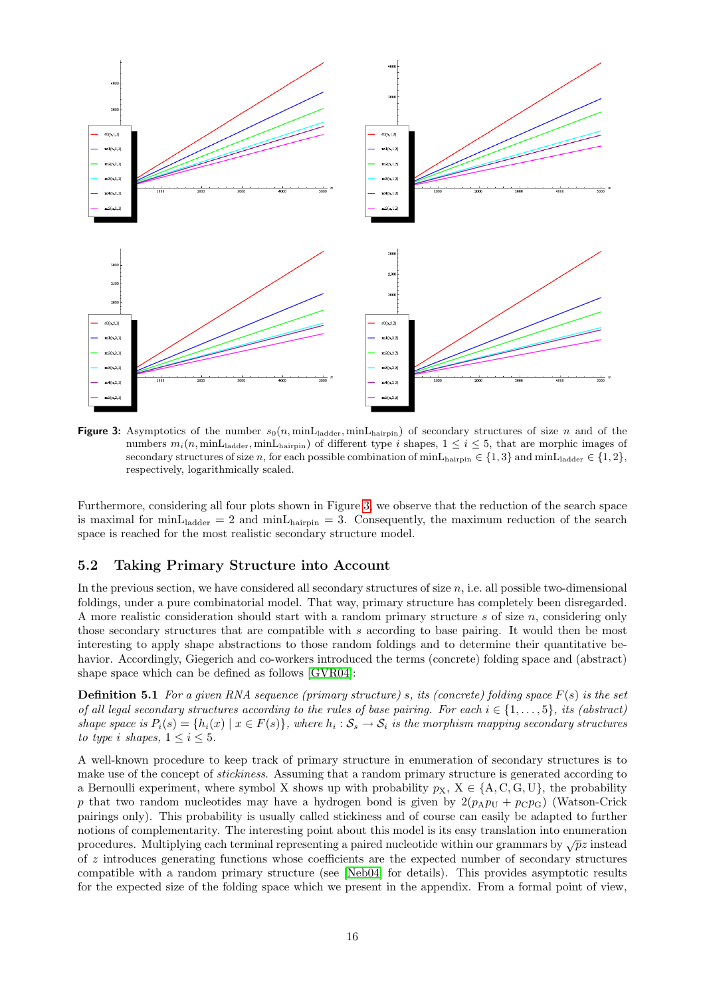

<span id="page-15-0"></span>**Figure 3:** Asymptotics of the number  $s_0(n, \text{minL}_{\text{ladder}}, \text{minL}_{\text{hation}})$  of secondary structures of size n and of the numbers  $m_i(n, \text{minL}_{\text{ladder}}, \text{minL}_{\text{hairpin}})$  of different type i shapes,  $1 \le i \le 5$ , that are morphic images of secondary structures of size n, for each possible combination of  $min<sub>hairpin</sub> \in \{1, 3\}$  and  $min<sub>Lladder</sub> \in \{1, 2\}$ , respectively, logarithmically scaled.

Furthermore, considering all four plots shown in Figure [3,](#page-15-0) we observe that the reduction of the search space is maximal for minL<sub>ladder</sub> = 2 and minL<sub>hairpin</sub> = 3. Consequently, the maximum reduction of the search space is reached for the most realistic secondary structure model.

### **5.2 Taking Primary Structure into Account**

In the previous section, we have considered all secondary structures of size  $n$ , i.e. all possible two-dimensional foldings, under a pure combinatorial model. That way, primary structure has completely been disregarded. A more realistic consideration should start with a random primary structure s of size n, considering only those secondary structures that are compatible with s according to base pairing. It would then be most interesting to apply shape abstractions to those random foldings and to determine their quantitative behavior. Accordingly, Giegerich and co-workers introduced the terms (concrete) folding space and (abstract) shape space which can be defined as follows [\[GVR04\]](#page-16-0):

**Definition 5.1** *For a given RNA sequence (primary structure)* s*, its (concrete) folding space* F(s) *is the set of all legal secondary structures according to the rules of base pairing. For each*  $i \in \{1, \ldots, 5\}$ *, its (abstract) shape space is*  $P_i(s) = \{h_i(x) \mid x \in F(s)\}\$ , where  $h_i : S_s \to S_i$  is the morphism mapping secondary structures *to type i shapes,*  $1 \leq i \leq 5$ *.* 

A well-known procedure to keep track of primary structure in enumeration of secondary structures is to make use of the concept of *stickiness*. Assuming that a random primary structure is generated according to a Bernoulli experiment, where symbol X shows up with probability  $p_X$ ,  $X \in \{A, C, G, U\}$ , the probability p that two random nucleotides may have a hydrogen bond is given by  $2(p_A p_U + p_C p_G)$  (Watson-Crick pairings only). This probability is usually called stickiness and of course can easily be adapted to further notions of complementarity. The interesting point about this model is its easy translation into enumeration procedures. Multiplying each terminal representing a paired nucleotide within our grammars by  $\sqrt{p}z$  instead of z introduces generating functions whose coefficients are the expected number of secondary structures compatible with a random primary structure (see [\[Neb04\]](#page-17-17) for details). This provides asymptotic results for the expected size of the folding space which we present in the appendix. From a formal point of view,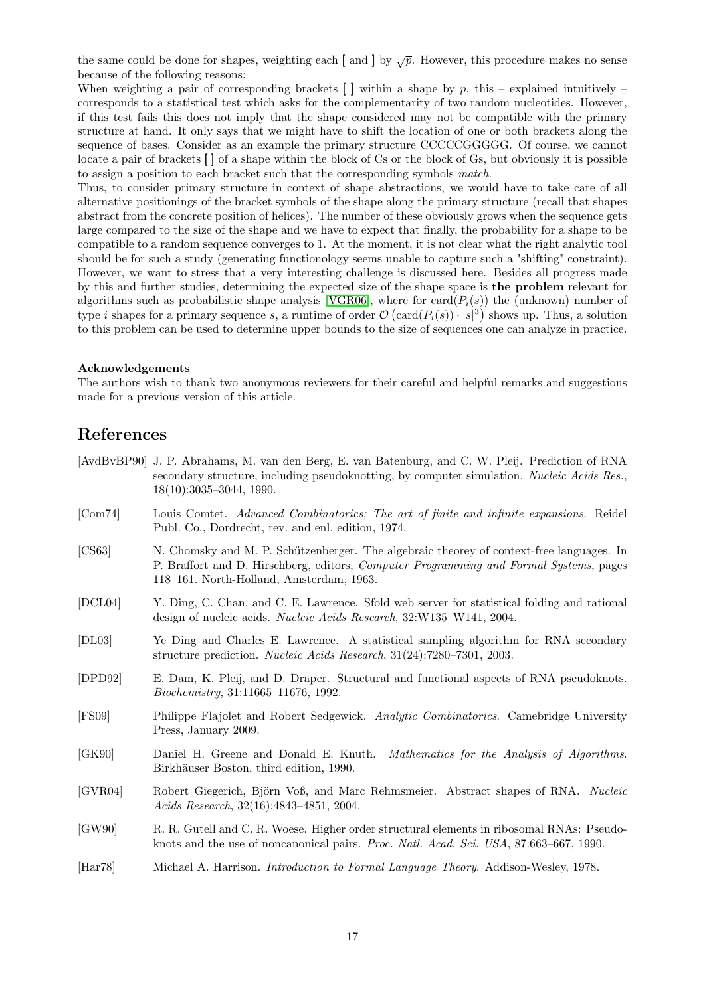the same could be done for shapes, weighting each [ and ] by  $\sqrt{p}$ . However, this procedure makes no sense because of the following reasons:

When weighting a pair of corresponding brackets  $\lceil \cdot \rceil$  within a shape by p, this – explained intuitively – corresponds to a statistical test which asks for the complementarity of two random nucleotides. However, if this test fails this does not imply that the shape considered may not be compatible with the primary structure at hand. It only says that we might have to shift the location of one or both brackets along the sequence of bases. Consider as an example the primary structure CCCCCGGGGG. Of course, we cannot locate a pair of brackets  $\iota$  of a shape within the block of Cs or the block of Gs, but obviously it is possible to assign a position to each bracket such that the corresponding symbols *match*.

Thus, to consider primary structure in context of shape abstractions, we would have to take care of all alternative positionings of the bracket symbols of the shape along the primary structure (recall that shapes abstract from the concrete position of helices). The number of these obviously grows when the sequence gets large compared to the size of the shape and we have to expect that finally, the probability for a shape to be compatible to a random sequence converges to 1. At the moment, it is not clear what the right analytic tool should be for such a study (generating functionology seems unable to capture such a "shifting" constraint). However, we want to stress that a very interesting challenge is discussed here. Besides all progress made by this and further studies, determining the expected size of the shape space is **the problem** relevant for algorithms such as probabilistic shape analysis [\[VGR06\]](#page-17-10), where for card $(P_i(s))$  the (unknown) number of type *i* shapes for a primary sequence *s*, a runtime of order  $\mathcal{O}(\text{card}(P_i(s)) \cdot |s|^3)$  shows up. Thus, a solution to this problem can be used to determine upper bounds to the size of sequences one can analyze in practice.

#### **Acknowledgements**

The authors wish to thank two anonymous reviewers for their careful and helpful remarks and suggestions made for a previous version of this article.

## **References**

- <span id="page-16-3"></span>[AvdBvBP90] J. P. Abrahams, M. van den Berg, E. van Batenburg, and C. W. Pleij. Prediction of RNA secondary structure, including pseudoknotting, by computer simulation. *Nucleic Acids Res.*, 18(10):3035–3044, 1990.
- <span id="page-16-9"></span>[Com74] Louis Comtet. *Advanced Combinatorics; The art of finite and infinite expansions*. Reidel Publ. Co., Dordrecht, rev. and enl. edition, 1974.
- <span id="page-16-7"></span>[CS63] N. Chomsky and M. P. Schützenberger. The algebraic theorey of context-free languages. In P. Braffort and D. Hirschberg, editors, *Computer Programming and Formal Systems*, pages 118–161. North-Holland, Amsterdam, 1963.
- <span id="page-16-2"></span>[DCL04] Y. Ding, C. Chan, and C. E. Lawrence. Sfold web server for statistical folding and rational design of nucleic acids. *Nucleic Acids Research*, 32:W135–W141, 2004.
- <span id="page-16-1"></span>[DL03] Ye Ding and Charles E. Lawrence. A statistical sampling algorithm for RNA secondary structure prediction. *Nucleic Acids Research*, 31(24):7280–7301, 2003.
- <span id="page-16-5"></span>[DPD92] E. Dam, K. Pleij, and D. Draper. Structural and functional aspects of RNA pseudoknots. *Biochemistry*, 31:11665–11676, 1992.
- <span id="page-16-8"></span>[FS09] Philippe Flajolet and Robert Sedgewick. *Analytic Combinatorics*. Camebridge University Press, January 2009.
- <span id="page-16-10"></span>[GK90] Daniel H. Greene and Donald E. Knuth. *Mathematics for the Analysis of Algorithms*. Birkhäuser Boston, third edition, 1990.
- <span id="page-16-0"></span>[GVR04] Robert Giegerich, Björn Voß, and Marc Rehmsmeier. Abstract shapes of RNA. *Nucleic Acids Research*, 32(16):4843–4851, 2004.
- <span id="page-16-4"></span>[GW90] R. R. Gutell and C. R. Woese. Higher order structural elements in ribosomal RNAs: Pseudoknots and the use of noncanonical pairs. *Proc. Natl. Acad. Sci. USA*, 87:663–667, 1990.
- <span id="page-16-6"></span>[Har78] Michael A. Harrison. *Introduction to Formal Language Theory*. Addison-Wesley, 1978.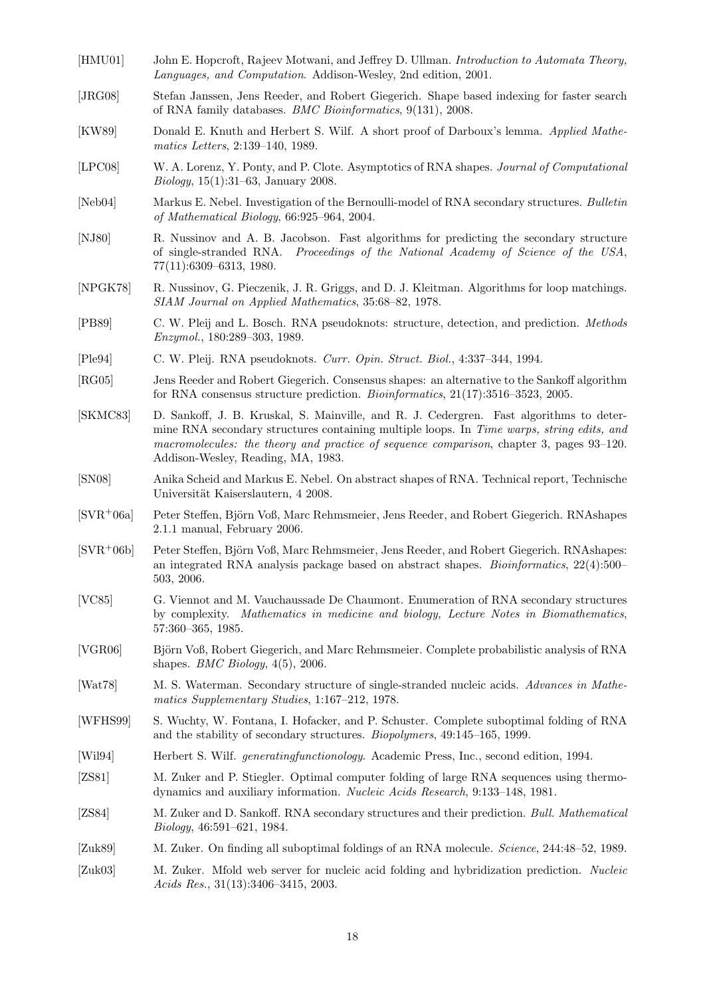- <span id="page-17-19"></span>[HMU01] John E. Hopcroft, Rajeev Motwani, and Jeffrey D. Ullman. *Introduction to Automata Theory, Languages, and Computation*. Addison-Wesley, 2nd edition, 2001.
- <span id="page-17-12"></span>[JRG08] Stefan Janssen, Jens Reeder, and Robert Giegerich. Shape based indexing for faster search of RNA family databases. *BMC Bioinformatics*, 9(131), 2008.
- <span id="page-17-21"></span>[KW89] Donald E. Knuth and Herbert S. Wilf. A short proof of Darboux's lemma. *Applied Mathematics Letters*, 2:139–140, 1989.
- <span id="page-17-20"></span>[LPC08] W. A. Lorenz, Y. Ponty, and P. Clote. Asymptotics of RNA shapes. *Journal of Computational Biology*, 15(1):31–63, January 2008.
- <span id="page-17-17"></span>[Neb04] Markus E. Nebel. Investigation of the Bernoulli-model of RNA secondary structures. *Bulletin of Mathematical Biology*, 66:925–964, 2004.
- <span id="page-17-1"></span>[NJ80] R. Nussinov and A. B. Jacobson. Fast algorithms for predicting the secondary structure of single-stranded RNA. *Proceedings of the National Academy of Science of the USA*, 77(11):6309–6313, 1980.
- <span id="page-17-0"></span>[NPGK78] R. Nussinov, G. Pieczenik, J. R. Griggs, and D. J. Kleitman. Algorithms for loop matchings. *SIAM Journal on Applied Mathematics*, 35:68–82, 1978.
- <span id="page-17-14"></span>[PB89] C. W. Pleij and L. Bosch. RNA pseudoknots: structure, detection, and prediction. *Methods Enzymol.*, 180:289–303, 1989.
- <span id="page-17-15"></span>[Ple94] C. W. Pleij. RNA pseudoknots. *Curr. Opin. Struct. Biol.*, 4:337–344, 1994.
- <span id="page-17-11"></span>[RG05] Jens Reeder and Robert Giegerich. Consensus shapes: an alternative to the Sankoff algorithm for RNA consensus structure prediction. *Bioinformatics*, 21(17):3516–3523, 2005.
- <span id="page-17-3"></span>[SKMC83] D. Sankoff, J. B. Kruskal, S. Mainville, and R. J. Cedergren. Fast algorithms to determine RNA secondary structures containing multiple loops. In *Time warps, string edits, and macromolecules: the theory and practice of sequence comparison*, chapter 3, pages 93–120. Addison-Wesley, Reading, MA, 1983.
- <span id="page-17-18"></span>[SN08] Anika Scheid and Markus E. Nebel. On abstract shapes of RNA. Technical report, Technische Universität Kaiserslautern, 4 2008.
- <span id="page-17-9"></span>[SVR+06a] Peter Steffen, Björn Voß, Marc Rehmsmeier, Jens Reeder, and Robert Giegerich. RNAshapes 2.1.1 manual, February 2006.
- <span id="page-17-8"></span>[SVR+06b] Peter Steffen, Björn Voß, Marc Rehmsmeier, Jens Reeder, and Robert Giegerich. RNAshapes: an integrated RNA analysis package based on abstract shapes. *Bioinformatics*, 22(4):500– 503, 2006.
- <span id="page-17-16"></span>[VC85] G. Viennot and M. Vauchaussade De Chaumont. Enumeration of RNA secondary structures by complexity. *Mathematics in medicine and biology, Lecture Notes in Biomathematics*, 57:360–365, 1985.
- <span id="page-17-10"></span>[VGR06] Björn Voß, Robert Giegerich, and Marc Rehmsmeier. Complete probabilistic analysis of RNA shapes. *BMC Biology*, 4(5), 2006.
- <span id="page-17-13"></span>[Wat78] M. S. Waterman. Secondary structure of single-stranded nucleic acids. *Advances in Mathematics Supplementary Studies*, 1:167–212, 1978.
- <span id="page-17-7"></span>[WFHS99] S. Wuchty, W. Fontana, I. Hofacker, and P. Schuster. Complete suboptimal folding of RNA and the stability of secondary structures. *Biopolymers*, 49:145–165, 1999.
- <span id="page-17-22"></span>[Wil94] Herbert S. Wilf. *generatingfunctionology*. Academic Press, Inc., second edition, 1994.
- <span id="page-17-2"></span>[ZS81] M. Zuker and P. Stiegler. Optimal computer folding of large RNA sequences using thermodynamics and auxiliary information. *Nucleic Acids Research*, 9:133–148, 1981.
- <span id="page-17-4"></span>[ZS84] M. Zuker and D. Sankoff. RNA secondary structures and their prediction. *Bull. Mathematical Biology*, 46:591–621, 1984.
- <span id="page-17-5"></span>[Zuk89] M. Zuker. On finding all suboptimal foldings of an RNA molecule. *Science*, 244:48–52, 1989.
- <span id="page-17-6"></span>[Zuk03] M. Zuker. Mfold web server for nucleic acid folding and hybridization prediction. *Nucleic Acids Res.*, 31(13):3406–3415, 2003.